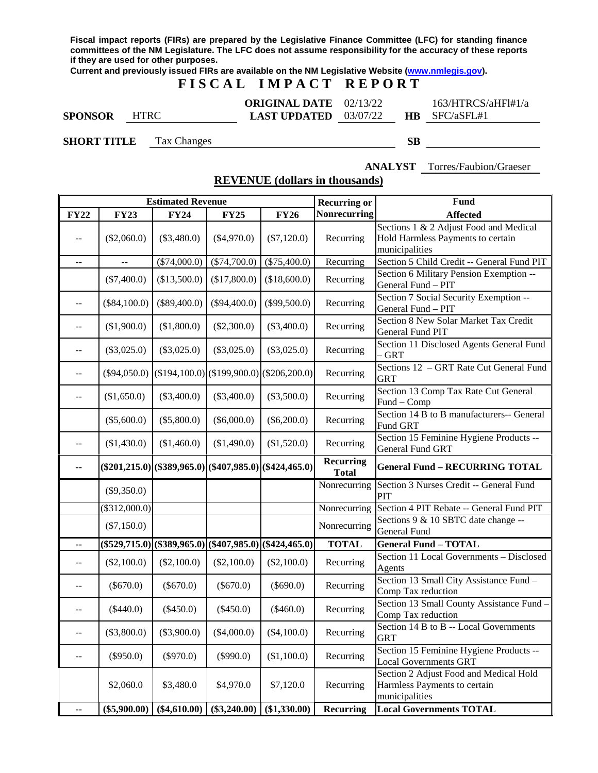**Fiscal impact reports (FIRs) are prepared by the Legislative Finance Committee (LFC) for standing finance committees of the NM Legislature. The LFC does not assume responsibility for the accuracy of these reports if they are used for other purposes.**

**Current and previously issued FIRs are available on the NM Legislative Website [\(www.nmlegis.gov\)](http://www.nmlegis.gov/).**

# **F I S C A L I M P A C T R E P O R T**

|                |             | <b>ORIGINAL DATE</b> 02/13/22  |  | 163/HTRCS/aHFl#1/a   |
|----------------|-------------|--------------------------------|--|----------------------|
| <b>SPONSOR</b> | <b>HTRC</b> | <b>LAST UPDATED</b> $03/07/22$ |  | <b>HB</b> SFC/aSFL#1 |

**SHORT TITLE** Tax Changes **SB**

**ANALYST** Torres/Faubion/Graeser

**REVENUE (dollars in thousands)**

|                                               | <b>Estimated Revenue</b> |                                                      |                  |                 |                                  | Fund                                                                                          |
|-----------------------------------------------|--------------------------|------------------------------------------------------|------------------|-----------------|----------------------------------|-----------------------------------------------------------------------------------------------|
| <b>FY22</b>                                   | <b>FY23</b>              | <b>FY24</b>                                          | <b>FY25</b>      | <b>FY26</b>     | <b>Nonrecurring</b>              | <b>Affected</b>                                                                               |
| $-$                                           | $(\$2,060.0)$            | $(\$3,480.0)$                                        | $(\$4,970.0)$    | $(\$7,120.0)$   | Recurring                        | Sections 1 & 2 Adjust Food and Medical<br>Hold Harmless Payments to certain<br>municipalities |
| $\mathbb{L}^{\mathbb{L}}$                     |                          | $(\$74,000.0)$                                       | $(\$74,700.0)$   | (\$75,400.0)    | Recurring                        | Section 5 Child Credit -- General Fund PIT                                                    |
|                                               | $(\$7,400.0)$            | (\$13,500.0)                                         | (\$17,800.0)     | (\$18,600.0)    | Recurring                        | Section 6 Military Pension Exemption --<br>General Fund - PIT                                 |
| $\mathrel{{-}\mathrel{{-}}\mathrel{{-}}}$     | $(\$84,100.0)$           | $(\$89,400.0)$                                       | $(\$94,400.0)$   | $(\$99,500.0)$  | Recurring                        | Section 7 Social Security Exemption --<br>General Fund - PIT                                  |
| $-$                                           | (\$1,900.0)              | (\$1,800.0)                                          | $(\$2,300.0)$    | $(\$3,400.0)$   | Recurring                        | Section 8 New Solar Market Tax Credit<br>General Fund PIT                                     |
| $-$                                           | $(\$3,025.0)$            | $(\$3,025.0)$                                        | $(\$3,025.0)$    | $(\$3,025.0)$   | Recurring                        | Section 11 Disclosed Agents General Fund<br>- GRT                                             |
| $-$                                           | $(\$94,050.0)$           | $($194,100.0)$ $($199,900.0)$                        |                  | $(\$206,200.0)$ | Recurring                        | Sections 12 - GRT Rate Cut General Fund<br><b>GRT</b>                                         |
| --                                            | (\$1,650.0)              | $(\$3,400.0)$                                        | $(\$3,400.0)$    | $(\$3,500.0)$   | Recurring                        | Section 13 Comp Tax Rate Cut General<br>Fund - Comp                                           |
|                                               | $(\$5,600.0)$            | $(\$5,800.0)$                                        | $(\$6,000.0)$    | $(\$6,200.0)$   | Recurring                        | Section 14 B to B manufacturers-- General<br>Fund GRT                                         |
| $-$                                           | (\$1,430.0)              | (\$1,460.0)                                          | (\$1,490.0)      | (\$1,520.0)     | Recurring                        | Section 15 Feminine Hygiene Products --<br>General Fund GRT                                   |
| --                                            |                          | $(\$201,215.0)$ ( $\$389,965.0)$ ) ( $\$407,985.0$ ) |                  | $(\$424,465.0)$ | <b>Recurring</b><br><b>Total</b> | <b>General Fund - RECURRING TOTAL</b>                                                         |
|                                               | $(\$9,350.0)$            |                                                      |                  |                 | Nonrecurring                     | Section 3 Nurses Credit -- General Fund<br>PIT                                                |
|                                               | (\$312,000.0)            |                                                      |                  |                 | Nonrecurring                     | Section 4 PIT Rebate -- General Fund PIT                                                      |
|                                               | $(\$7,150.0)$            |                                                      |                  |                 | Nonrecurring                     | Sections 9 & 10 SBTC date change --<br>General Fund                                           |
| μ.                                            | $(\$529,715.0)$          | $(\$389,965.0)$                                      | $($ \$407,985.0) | $(\$424,465.0)$ | <b>TOTAL</b>                     | <b>General Fund - TOTAL</b>                                                                   |
| $-$                                           | $(\$2,100.0)$            | $(\$2,100.0)$                                        | (\$2,100.0)      | (\$2,100.0)     | Recurring                        | Section 11 Local Governments - Disclosed<br>Agents                                            |
| $-$                                           | $(\$670.0)$              | $(\$670.0)$                                          | $(\$670.0)$      | $(\$690.0)$     | Recurring                        | Section 13 Small City Assistance Fund -<br>Comp Tax reduction                                 |
| $\mathord{\hspace{1pt}\text{--}\hspace{1pt}}$ | $(\$440.0)$              | $(\$450.0)$                                          | $(\$450.0)$      | $(\$460.0)$     | Recurring                        | Section 13 Small County Assistance Fund -<br>Comp Tax reduction                               |
|                                               | $(\$3,800.0)$            | $(\$3,900.0)$                                        | $(\$4,000.0)$    | (\$4,100.0)     | Recurring                        | Section 14 B to B -- Local Governments<br><b>GRT</b>                                          |
| $\mathrel{{-}\mathrel{{-}}\mathrel{{-}}}$     | $(\$950.0)$              | $(\$970.0)$                                          | $(\$990.0)$      | (\$1,100.0)     | Recurring                        | Section 15 Feminine Hygiene Products --<br><b>Local Governments GRT</b>                       |
|                                               | \$2,060.0                | \$3,480.0                                            | \$4,970.0        | \$7,120.0       | Recurring                        | Section 2 Adjust Food and Medical Hold<br>Harmless Payments to certain<br>municipalities      |
| --                                            | $(\$5,900.00)$           | $(\$4,610.00)$                                       | $(\$3,240.00)$   | (\$1,330.00)    | <b>Recurring</b>                 | <b>Local Governments TOTAL</b>                                                                |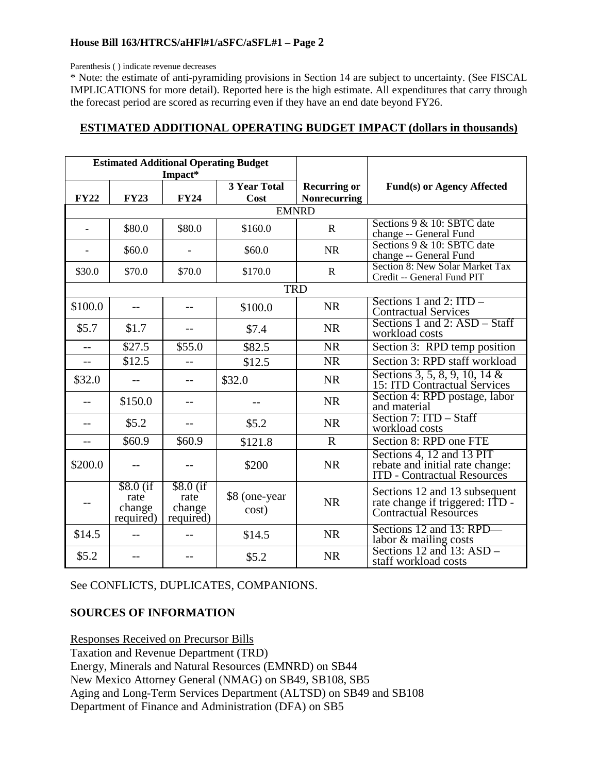Parenthesis ( ) indicate revenue decreases

\* Note: the estimate of anti-pyramiding provisions in Section 14 are subject to uncertainty. (See FISCAL IMPLICATIONS for more detail). Reported here is the high estimate. All expenditures that carry through the forecast period are scored as recurring even if they have an end date beyond FY26.

### **ESTIMATED ADDITIONAL OPERATING BUDGET IMPACT (dollars in thousands)**

|             | <b>Estimated Additional Operating Budget</b> |                                           |                        |                     |                                                                                                    |
|-------------|----------------------------------------------|-------------------------------------------|------------------------|---------------------|----------------------------------------------------------------------------------------------------|
|             |                                              | Impact*                                   |                        |                     |                                                                                                    |
|             |                                              |                                           | 3 Year Total           | <b>Recurring or</b> | <b>Fund(s) or Agency Affected</b>                                                                  |
| <b>FY22</b> | <b>FY23</b>                                  | <b>FY24</b>                               | Cost                   | <b>Nonrecurring</b> |                                                                                                    |
|             |                                              |                                           | <b>EMNRD</b>           |                     |                                                                                                    |
|             | \$80.0                                       | \$80.0                                    | \$160.0                | $\mathbf{R}$        | Sections 9 & 10: SBTC date<br>change -- General Fund                                               |
|             | \$60.0                                       |                                           | \$60.0                 | <b>NR</b>           | Sections 9 & 10: SBTC date<br>change -- General Fund                                               |
| \$30.0      | \$70.0                                       | \$70.0                                    | \$170.0                | $\mathbf R$         | Section 8: New Solar Market Tax<br>Credit -- General Fund PIT                                      |
|             |                                              |                                           | <b>TRD</b>             |                     |                                                                                                    |
| \$100.0     | $-$                                          |                                           | \$100.0                | <b>NR</b>           | Sections 1 and 2: $ITD -$<br><b>Contractual Services</b>                                           |
| \$5.7       | \$1.7                                        |                                           | \$7.4                  | <b>NR</b>           | Sections 1 and 2: ASD – Staff<br>workload costs                                                    |
| $-$         | \$27.5                                       | \$55.0                                    | \$82.5                 | <b>NR</b>           | Section 3: RPD temp position                                                                       |
| $- -$       | \$12.5                                       | $-$                                       | \$12.5                 | <b>NR</b>           | Section 3: RPD staff workload                                                                      |
| \$32.0      |                                              |                                           | \$32.0                 | <b>NR</b>           | Sections 3, 5, 8, 9, 10, 14 &<br>15: ITD Contractual Services                                      |
| $-$         | \$150.0                                      | $-$                                       |                        | <b>NR</b>           | Section 4: RPD postage, labor<br>and material                                                      |
| $-$         | \$5.2                                        |                                           | \$5.2\$                | <b>NR</b>           | Section 7: ITD - Staff<br>workload costs                                                           |
|             | \$60.9                                       | \$60.9                                    | \$121.8                | $\mathbf R$         | Section 8: RPD one FTE                                                                             |
| \$200.0     |                                              |                                           | \$200                  | <b>NR</b>           | Sections 4, 12 and 13 PIT<br>rebate and initial rate change:<br><b>ITD</b> - Contractual Resources |
| $-$         | $$8.0$ (if<br>rate<br>change<br>required)    | $$8.0$ (if<br>rate<br>change<br>required) | \$8 (one-year<br>cost) | <b>NR</b>           | Sections 12 and 13 subsequent<br>rate change if triggered: ITD -<br>Contractual Resources          |
| \$14.5      |                                              |                                           | \$14.5                 | <b>NR</b>           | Sections 12 and 13: RPD-<br>labor & mailing costs                                                  |
| \$5.2       |                                              |                                           | \$5.2                  | <b>NR</b>           | Sections 12 and 13: ASD -<br>staff workload costs                                                  |

See CONFLICTS, DUPLICATES, COMPANIONS.

## **SOURCES OF INFORMATION**

Responses Received on Precursor Bills Taxation and Revenue Department (TRD) Energy, Minerals and Natural Resources (EMNRD) on SB44 New Mexico Attorney General (NMAG) on SB49, SB108, SB5 Aging and Long-Term Services Department (ALTSD) on SB49 and SB108 Department of Finance and Administration (DFA) on SB5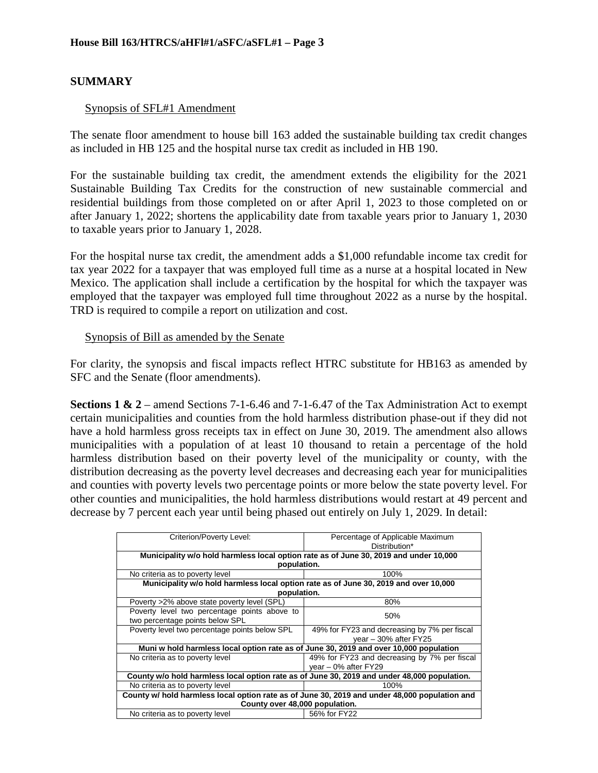## **SUMMARY**

#### Synopsis of SFL#1 Amendment

The senate floor amendment to house bill 163 added the sustainable building tax credit changes as included in HB 125 and the hospital nurse tax credit as included in HB 190.

For the sustainable building tax credit, the amendment extends the eligibility for the 2021 Sustainable Building Tax Credits for the construction of new sustainable commercial and residential buildings from those completed on or after April 1, 2023 to those completed on or after January 1, 2022; shortens the applicability date from taxable years prior to January 1, 2030 to taxable years prior to January 1, 2028.

For the hospital nurse tax credit, the amendment adds a \$1,000 refundable income tax credit for tax year 2022 for a taxpayer that was employed full time as a nurse at a hospital located in New Mexico. The application shall include a certification by the hospital for which the taxpayer was employed that the taxpayer was employed full time throughout 2022 as a nurse by the hospital. TRD is required to compile a report on utilization and cost.

#### Synopsis of Bill as amended by the Senate

For clarity, the synopsis and fiscal impacts reflect HTRC substitute for HB163 as amended by SFC and the Senate (floor amendments).

**Sections 1 & 2** – amend Sections 7-1-6.46 and 7-1-6.47 of the Tax Administration Act to exempt certain municipalities and counties from the hold harmless distribution phase-out if they did not have a hold harmless gross receipts tax in effect on June 30, 2019. The amendment also allows municipalities with a population of at least 10 thousand to retain a percentage of the hold harmless distribution based on their poverty level of the municipality or county, with the distribution decreasing as the poverty level decreases and decreasing each year for municipalities and counties with poverty levels two percentage points or more below the state poverty level. For other counties and municipalities, the hold harmless distributions would restart at 49 percent and decrease by 7 percent each year until being phased out entirely on July 1, 2029. In detail:

| Criterion/Poverty Level:                                                                      | Percentage of Applicable Maximum             |
|-----------------------------------------------------------------------------------------------|----------------------------------------------|
|                                                                                               | Distribution*                                |
| Municipality w/o hold harmless local option rate as of June 30, 2019 and under 10,000         |                                              |
| population.                                                                                   |                                              |
| No criteria as to poverty level                                                               | 100%                                         |
| Municipality w/o hold harmless local option rate as of June 30, 2019 and over 10,000          |                                              |
| population.                                                                                   |                                              |
| Poverty >2% above state poverty level (SPL)                                                   | 80%                                          |
| Poverty level two percentage points above to                                                  | 50%                                          |
| two percentage points below SPL                                                               |                                              |
| Poverty level two percentage points below SPL                                                 | 49% for FY23 and decreasing by 7% per fiscal |
|                                                                                               | year - 30% after FY25                        |
| Muni w hold harmless local option rate as of June 30, 2019 and over 10,000 population         |                                              |
| No criteria as to poverty level                                                               | 49% for FY23 and decreasing by 7% per fiscal |
|                                                                                               | $vear - 0\%$ after FY29                      |
| County w/o hold harmless local option rate as of June 30, 2019 and under 48,000 population.   |                                              |
| No criteria as to poverty level                                                               | 100%                                         |
| County w/ hold harmless local option rate as of June 30, 2019 and under 48,000 population and |                                              |
| County over 48,000 population.                                                                |                                              |
| No criteria as to poverty level                                                               | 56% for FY22                                 |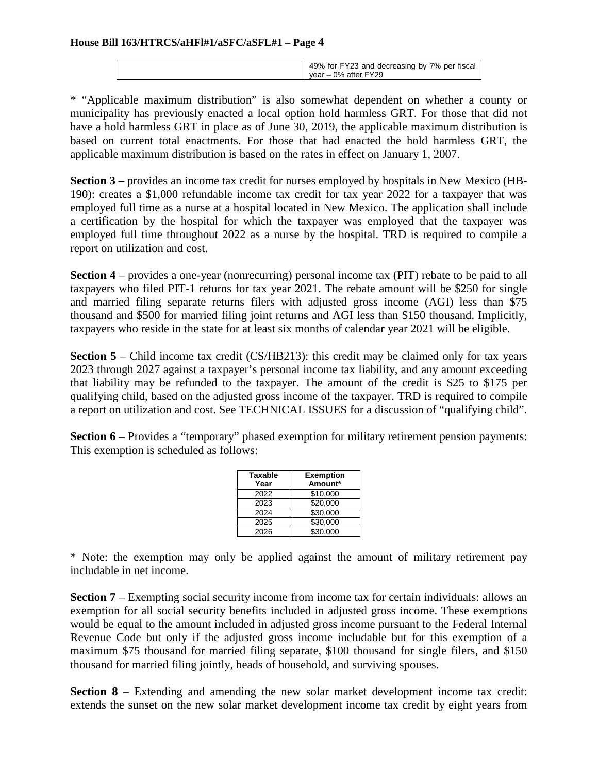| 49% for FY23 and decreasing by 7% per fiscal |
|----------------------------------------------|
| vear – 0% after FY29                         |
|                                              |

\* "Applicable maximum distribution" is also somewhat dependent on whether a county or municipality has previously enacted a local option hold harmless GRT. For those that did not have a hold harmless GRT in place as of June 30, 2019, the applicable maximum distribution is based on current total enactments. For those that had enacted the hold harmless GRT, the applicable maximum distribution is based on the rates in effect on January 1, 2007.

**Section 3** – provides an income tax credit for nurses employed by hospitals in New Mexico (HB-190): creates a \$1,000 refundable income tax credit for tax year 2022 for a taxpayer that was employed full time as a nurse at a hospital located in New Mexico. The application shall include a certification by the hospital for which the taxpayer was employed that the taxpayer was employed full time throughout 2022 as a nurse by the hospital. TRD is required to compile a report on utilization and cost.

**Section 4** – provides a one-year (nonrecurring) personal income tax (PIT) rebate to be paid to all taxpayers who filed PIT-1 returns for tax year 2021. The rebate amount will be \$250 for single and married filing separate returns filers with adjusted gross income (AGI) less than \$75 thousand and \$500 for married filing joint returns and AGI less than \$150 thousand. Implicitly, taxpayers who reside in the state for at least six months of calendar year 2021 will be eligible.

**Section 5** – Child income tax credit (CS/HB213): this credit may be claimed only for tax years 2023 through 2027 against a taxpayer's personal income tax liability, and any amount exceeding that liability may be refunded to the taxpayer. The amount of the credit is \$25 to \$175 per qualifying child, based on the adjusted gross income of the taxpayer. TRD is required to compile a report on utilization and cost. See TECHNICAL ISSUES for a discussion of "qualifying child".

**Section 6** – Provides a "temporary" phased exemption for military retirement pension payments: This exemption is scheduled as follows:

| <b>Taxable</b><br>Year | <b>Exemption</b><br>Amount* |
|------------------------|-----------------------------|
| 2022                   | \$10,000                    |
| 2023                   | \$20,000                    |
| 2024                   | \$30,000                    |
| 2025                   | \$30,000                    |
| 2026                   | \$30,000                    |

\* Note: the exemption may only be applied against the amount of military retirement pay includable in net income.

**Section 7** – Exempting social security income from income tax for certain individuals: allows an exemption for all social security benefits included in adjusted gross income. These exemptions would be equal to the amount included in adjusted gross income pursuant to the Federal Internal Revenue Code but only if the adjusted gross income includable but for this exemption of a maximum \$75 thousand for married filing separate, \$100 thousand for single filers, and \$150 thousand for married filing jointly, heads of household, and surviving spouses.

**Section 8** – Extending and amending the new solar market development income tax credit: extends the sunset on the new solar market development income tax credit by eight years from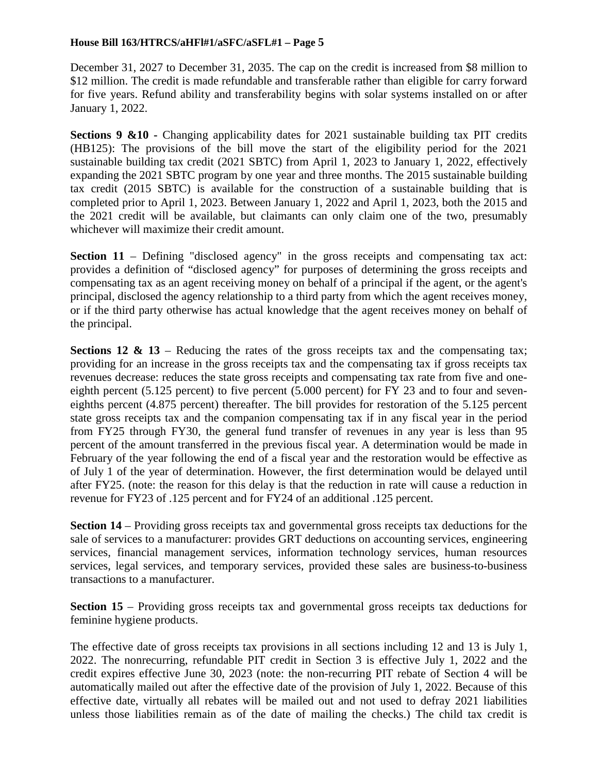December 31, 2027 to December 31, 2035. The cap on the credit is increased from \$8 million to \$12 million. The credit is made refundable and transferable rather than eligible for carry forward for five years. Refund ability and transferability begins with solar systems installed on or after January 1, 2022.

**Sections 9 &10 -** Changing applicability dates for 2021 sustainable building tax PIT credits (HB125): The provisions of the bill move the start of the eligibility period for the 2021 sustainable building tax credit (2021 SBTC) from April 1, 2023 to January 1, 2022, effectively expanding the 2021 SBTC program by one year and three months. The 2015 sustainable building tax credit (2015 SBTC) is available for the construction of a sustainable building that is completed prior to April 1, 2023. Between January 1, 2022 and April 1, 2023, both the 2015 and the 2021 credit will be available, but claimants can only claim one of the two, presumably whichever will maximize their credit amount.

**Section 11** – Defining "disclosed agency" in the gross receipts and compensating tax act: provides a definition of "disclosed agency" for purposes of determining the gross receipts and compensating tax as an agent receiving money on behalf of a principal if the agent, or the agent's principal, disclosed the agency relationship to a third party from which the agent receives money, or if the third party otherwise has actual knowledge that the agent receives money on behalf of the principal.

**Sections 12 & 13** – Reducing the rates of the gross receipts tax and the compensating tax; providing for an increase in the gross receipts tax and the compensating tax if gross receipts tax revenues decrease: reduces the state gross receipts and compensating tax rate from five and oneeighth percent (5.125 percent) to five percent (5.000 percent) for FY 23 and to four and seveneighths percent (4.875 percent) thereafter. The bill provides for restoration of the 5.125 percent state gross receipts tax and the companion compensating tax if in any fiscal year in the period from FY25 through FY30, the general fund transfer of revenues in any year is less than 95 percent of the amount transferred in the previous fiscal year. A determination would be made in February of the year following the end of a fiscal year and the restoration would be effective as of July 1 of the year of determination. However, the first determination would be delayed until after FY25. (note: the reason for this delay is that the reduction in rate will cause a reduction in revenue for FY23 of .125 percent and for FY24 of an additional .125 percent.

**Section 14** – Providing gross receipts tax and governmental gross receipts tax deductions for the sale of services to a manufacturer: provides GRT deductions on accounting services, engineering services, financial management services, information technology services, human resources services, legal services, and temporary services, provided these sales are business-to-business transactions to a manufacturer.

**Section 15** – Providing gross receipts tax and governmental gross receipts tax deductions for feminine hygiene products.

The effective date of gross receipts tax provisions in all sections including 12 and 13 is July 1, 2022. The nonrecurring, refundable PIT credit in Section 3 is effective July 1, 2022 and the credit expires effective June 30, 2023 (note: the non-recurring PIT rebate of Section 4 will be automatically mailed out after the effective date of the provision of July 1, 2022. Because of this effective date, virtually all rebates will be mailed out and not used to defray 2021 liabilities unless those liabilities remain as of the date of mailing the checks.) The child tax credit is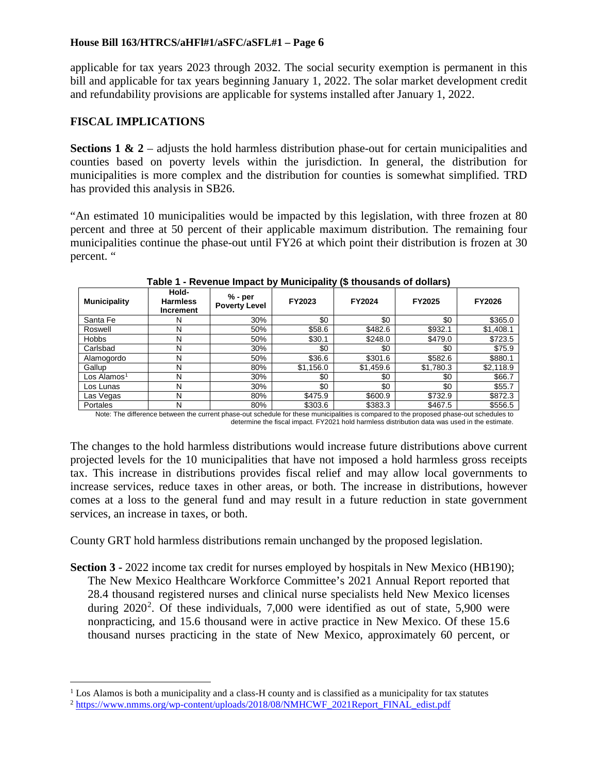applicable for tax years 2023 through 2032. The social security exemption is permanent in this bill and applicable for tax years beginning January 1, 2022. The solar market development credit and refundability provisions are applicable for systems installed after January 1, 2022.

## **FISCAL IMPLICATIONS**

**Sections 1 & 2** – adjusts the hold harmless distribution phase-out for certain municipalities and counties based on poverty levels within the jurisdiction. In general, the distribution for municipalities is more complex and the distribution for counties is somewhat simplified. TRD has provided this analysis in SB26.

"An estimated 10 municipalities would be impacted by this legislation, with three frozen at 80 percent and three at 50 percent of their applicable maximum distribution. The remaining four municipalities continue the phase-out until FY26 at which point their distribution is frozen at 30 percent. "

| <b>Municipality</b> | Hold-<br><b>Harmless</b><br>Increment | % - per<br><b>Poverty Level</b> | FY2023    | .<br><b>FY2024</b> | FY2025    | <b>FY2026</b> |
|---------------------|---------------------------------------|---------------------------------|-----------|--------------------|-----------|---------------|
| Santa Fe            | N                                     | 30%                             | \$0       | \$0                | \$0       | \$365.0       |
| Roswell             | N                                     | 50%                             | \$58.6    | \$482.6            | \$932.1   | \$1,408.1     |
| <b>Hobbs</b>        | N                                     | 50%                             | \$30.1    | \$248.0            | \$479.0   | \$723.5       |
| Carlsbad            | N                                     | 30%                             | \$0       | \$0                | \$0       | \$75.9        |
| Alamogordo          | N                                     | 50%                             | \$36.6    | \$301.6            | \$582.6   | \$880.1       |
| Gallup              | N                                     | 80%                             | \$1,156.0 | \$1,459.6          | \$1,780.3 | \$2,118.9     |
| Los Alamos $1$      | N                                     | 30%                             | \$0       | \$0                | \$0       | \$66.7        |
| Los Lunas           | N                                     | 30%                             | \$0       | \$0                | \$0       | \$55.7        |
| Las Vegas           | N                                     | 80%                             | \$475.9   | \$600.9            | \$732.9   | \$872.3       |
| Portales            | Ν                                     | 80%                             | \$303.6   | \$383.3            | \$467.5   | \$556.5       |

**Table 1 - Revenue Impact by Municipality (\$ thousands of dollars)**

Note: The difference between the current phase-out schedule for these municipalities is compared to the proposed phase-out schedules to determine the fiscal impact. FY2021 hold harmless distribution data was used in the estimate.

The changes to the hold harmless distributions would increase future distributions above current projected levels for the 10 municipalities that have not imposed a hold harmless gross receipts tax. This increase in distributions provides fiscal relief and may allow local governments to increase services, reduce taxes in other areas, or both. The increase in distributions, however comes at a loss to the general fund and may result in a future reduction in state government services, an increase in taxes, or both.

County GRT hold harmless distributions remain unchanged by the proposed legislation.

**Section 3 -** 2022 income tax credit for nurses employed by hospitals in New Mexico (HB190); The New Mexico Healthcare Workforce Committee's 2021 Annual Report reported that 28.4 thousand registered nurses and clinical nurse specialists held New Mexico licenses during  $2020^2$  $2020^2$ . Of these individuals, 7,000 were identified as out of state, 5,900 were nonpracticing, and 15.6 thousand were in active practice in New Mexico. Of these 15.6 thousand nurses practicing in the state of New Mexico, approximately 60 percent, or

<span id="page-5-0"></span><sup>&</sup>lt;sup>1</sup> Los Alamos is both a municipality and a class-H county and is classified as a municipality for tax statutes

<span id="page-5-1"></span><sup>2</sup> [https://www.nmms.org/wp-content/uploads/2018/08/NMHCWF\\_2021Report\\_FINAL\\_edist.pdf](https://www.nmms.org/wp-content/uploads/2018/08/NMHCWF_2021Report_FINAL_edist.pdf)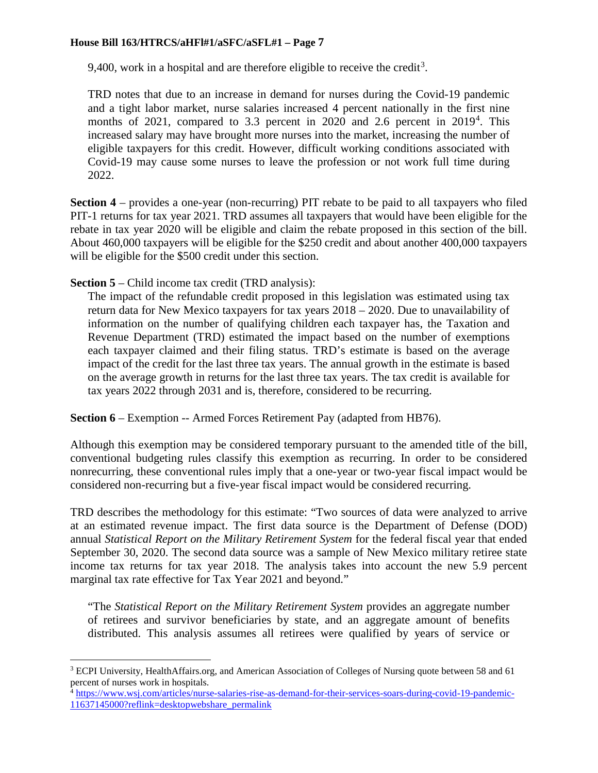9,400, work in a hospital and are therefore eligible to receive the credit<sup>[3](#page-6-0)</sup>.

TRD notes that due to an increase in demand for nurses during the Covid-19 pandemic and a tight labor market, nurse salaries increased 4 percent nationally in the first nine months of 2021, compared to 3.3 percent in 2020 and 2.6 percent in  $2019<sup>4</sup>$  $2019<sup>4</sup>$  $2019<sup>4</sup>$ . This increased salary may have brought more nurses into the market, increasing the number of eligible taxpayers for this credit. However, difficult working conditions associated with Covid-19 may cause some nurses to leave the profession or not work full time during 2022.

**Section 4** – provides a one-year (non-recurring) PIT rebate to be paid to all taxpayers who filed PIT-1 returns for tax year 2021. TRD assumes all taxpayers that would have been eligible for the rebate in tax year 2020 will be eligible and claim the rebate proposed in this section of the bill. About 460,000 taxpayers will be eligible for the \$250 credit and about another 400,000 taxpayers will be eligible for the \$500 credit under this section.

**Section 5** – Child income tax credit (TRD analysis):

The impact of the refundable credit proposed in this legislation was estimated using tax return data for New Mexico taxpayers for tax years 2018 – 2020. Due to unavailability of information on the number of qualifying children each taxpayer has, the Taxation and Revenue Department (TRD) estimated the impact based on the number of exemptions each taxpayer claimed and their filing status. TRD's estimate is based on the average impact of the credit for the last three tax years. The annual growth in the estimate is based on the average growth in returns for the last three tax years. The tax credit is available for tax years 2022 through 2031 and is, therefore, considered to be recurring.

**Section 6** – Exemption -- Armed Forces Retirement Pay (adapted from HB76).

Although this exemption may be considered temporary pursuant to the amended title of the bill, conventional budgeting rules classify this exemption as recurring. In order to be considered nonrecurring, these conventional rules imply that a one-year or two-year fiscal impact would be considered non-recurring but a five-year fiscal impact would be considered recurring.

TRD describes the methodology for this estimate: "Two sources of data were analyzed to arrive at an estimated revenue impact. The first data source is the Department of Defense (DOD) annual *Statistical Report on the Military Retirement System* for the federal fiscal year that ended September 30, 2020. The second data source was a sample of New Mexico military retiree state income tax returns for tax year 2018. The analysis takes into account the new 5.9 percent marginal tax rate effective for Tax Year 2021 and beyond."

"The *Statistical Report on the Military Retirement System* provides an aggregate number of retirees and survivor beneficiaries by state, and an aggregate amount of benefits distributed. This analysis assumes all retirees were qualified by years of service or

<span id="page-6-0"></span><sup>&</sup>lt;sup>3</sup> ECPI University, HealthAffairs.org, and American Association of Colleges of Nursing quote between 58 and 61 percent of nurses work in hospitals.

<span id="page-6-1"></span><sup>&</sup>lt;sup>4</sup> [https://www.wsj.com/articles/nurse-salaries-rise-as-demand-for-their-services-soars-during-covid-19-pandemic-](https://www.wsj.com/articles/nurse-salaries-rise-as-demand-for-their-services-soars-during-covid-19-pandemic-11637145000?reflink=desktopwebshare_permalink)[11637145000?reflink=desktopwebshare\\_permalink](https://www.wsj.com/articles/nurse-salaries-rise-as-demand-for-their-services-soars-during-covid-19-pandemic-11637145000?reflink=desktopwebshare_permalink)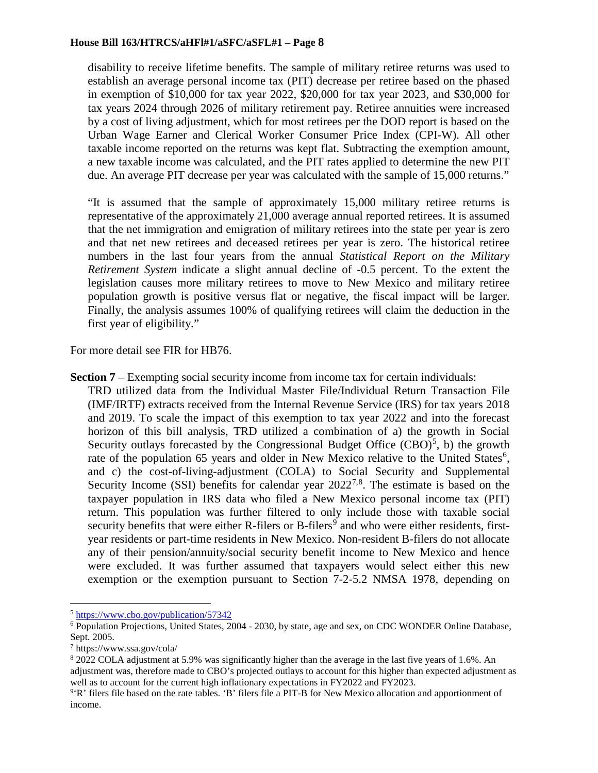disability to receive lifetime benefits. The sample of military retiree returns was used to establish an average personal income tax (PIT) decrease per retiree based on the phased in exemption of \$10,000 for tax year 2022, \$20,000 for tax year 2023, and \$30,000 for tax years 2024 through 2026 of military retirement pay. Retiree annuities were increased by a cost of living adjustment, which for most retirees per the DOD report is based on the Urban Wage Earner and Clerical Worker Consumer Price Index (CPI-W). All other taxable income reported on the returns was kept flat. Subtracting the exemption amount, a new taxable income was calculated, and the PIT rates applied to determine the new PIT due. An average PIT decrease per year was calculated with the sample of 15,000 returns."

"It is assumed that the sample of approximately 15,000 military retiree returns is representative of the approximately 21,000 average annual reported retirees. It is assumed that the net immigration and emigration of military retirees into the state per year is zero and that net new retirees and deceased retirees per year is zero. The historical retiree numbers in the last four years from the annual *Statistical Report on the Military Retirement System* indicate a slight annual decline of -0.5 percent. To the extent the legislation causes more military retirees to move to New Mexico and military retiree population growth is positive versus flat or negative, the fiscal impact will be larger. Finally, the analysis assumes 100% of qualifying retirees will claim the deduction in the first year of eligibility."

For more detail see FIR for HB76.

**Section 7** – Exempting social security income from income tax for certain individuals: TRD utilized data from the Individual Master File/Individual Return Transaction File (IMF/IRTF) extracts received from the Internal Revenue Service (IRS) for tax years 2018 and 2019. To scale the impact of this exemption to tax year 2022 and into the forecast horizon of this bill analysis, TRD utilized a combination of a) the growth in Social Security outlays forecasted by the Congressional Budget Office  $(CBO)^5$  $(CBO)^5$ , b) the growth rate of the population [6](#page-7-1)5 years and older in New Mexico relative to the United States<sup>6</sup>, and c) the cost-of-living-adjustment (COLA) to Social Security and Supplemental Security Income (SSI) benefits for calendar year  $2022^{7,8}$  $2022^{7,8}$  $2022^{7,8}$  $2022^{7,8}$ . The estimate is based on the taxpayer population in IRS data who filed a New Mexico personal income tax (PIT) return. This population was further filtered to only include those with taxable social security benefits that were either R-filers or  $B$ -filers<sup>[9](#page-7-4)</sup> and who were either residents, firstyear residents or part-time residents in New Mexico. Non-resident B-filers do not allocate any of their pension/annuity/social security benefit income to New Mexico and hence were excluded. It was further assumed that taxpayers would select either this new exemption or the exemption pursuant to Section 7-2-5.2 NMSA 1978, depending on

<span id="page-7-0"></span> <sup>5</sup> <https://www.cbo.gov/publication/57342>

<span id="page-7-1"></span><sup>6</sup> Population Projections, United States, 2004 - 2030, by state, age and sex, on CDC WONDER Online Database, Sept. 2005.

<span id="page-7-2"></span><sup>7</sup> https://www.ssa.gov/cola/

<span id="page-7-3"></span><sup>8</sup> 2022 COLA adjustment at 5.9% was significantly higher than the average in the last five years of 1.6%. An adjustment was, therefore made to CBO's projected outlays to account for this higher than expected adjustment as well as to account for the current high inflationary expectations in FY2022 and FY2023.

<span id="page-7-4"></span><sup>&</sup>lt;sup>9</sup>'R' filers file based on the rate tables. 'B' filers file a PIT-B for New Mexico allocation and apportionment of income.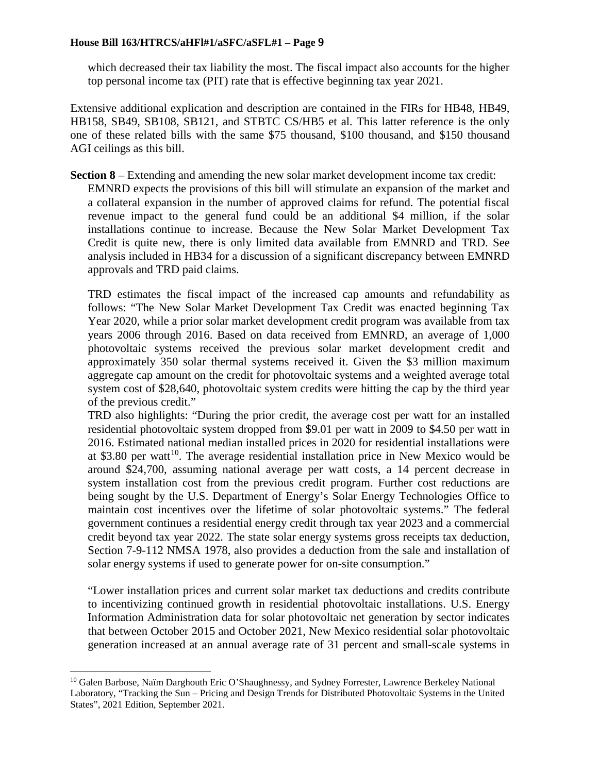which decreased their tax liability the most. The fiscal impact also accounts for the higher top personal income tax (PIT) rate that is effective beginning tax year 2021.

Extensive additional explication and description are contained in the FIRs for HB48, HB49, HB158, SB49, SB108, SB121, and STBTC CS/HB5 et al. This latter reference is the only one of these related bills with the same \$75 thousand, \$100 thousand, and \$150 thousand AGI ceilings as this bill.

**Section 8** – Extending and amending the new solar market development income tax credit: EMNRD expects the provisions of this bill will stimulate an expansion of the market and a collateral expansion in the number of approved claims for refund. The potential fiscal revenue impact to the general fund could be an additional \$4 million, if the solar installations continue to increase. Because the New Solar Market Development Tax Credit is quite new, there is only limited data available from EMNRD and TRD. See analysis included in HB34 for a discussion of a significant discrepancy between EMNRD approvals and TRD paid claims.

TRD estimates the fiscal impact of the increased cap amounts and refundability as follows: "The New Solar Market Development Tax Credit was enacted beginning Tax Year 2020, while a prior solar market development credit program was available from tax years 2006 through 2016. Based on data received from EMNRD, an average of 1,000 photovoltaic systems received the previous solar market development credit and approximately 350 solar thermal systems received it. Given the \$3 million maximum aggregate cap amount on the credit for photovoltaic systems and a weighted average total system cost of \$28,640, photovoltaic system credits were hitting the cap by the third year of the previous credit."

TRD also highlights: "During the prior credit, the average cost per watt for an installed residential photovoltaic system dropped from \$9.01 per watt in 2009 to \$4.50 per watt in 2016. Estimated national median installed prices in 2020 for residential installations were at \$3.80 per watt<sup>[10](#page-8-0)</sup>. The average residential installation price in New Mexico would be around \$24,700, assuming national average per watt costs, a 14 percent decrease in system installation cost from the previous credit program. Further cost reductions are being sought by the U.S. Department of Energy's Solar Energy Technologies Office to maintain cost incentives over the lifetime of solar photovoltaic systems." The federal government continues a residential energy credit through tax year 2023 and a commercial credit beyond tax year 2022. The state solar energy systems gross receipts tax deduction, Section 7-9-112 NMSA 1978, also provides a deduction from the sale and installation of solar energy systems if used to generate power for on-site consumption."

"Lower installation prices and current solar market tax deductions and credits contribute to incentivizing continued growth in residential photovoltaic installations. U.S. Energy Information Administration data for solar photovoltaic net generation by sector indicates that between October 2015 and October 2021, New Mexico residential solar photovoltaic generation increased at an annual average rate of 31 percent and small-scale systems in

<span id="page-8-0"></span><sup>&</sup>lt;sup>10</sup> Galen Barbose, Naïm Darghouth Eric O'Shaughnessy, and Sydney Forrester, Lawrence Berkeley National Laboratory, "Tracking the Sun – Pricing and Design Trends for Distributed Photovoltaic Systems in the United States", 2021 Edition, September 2021.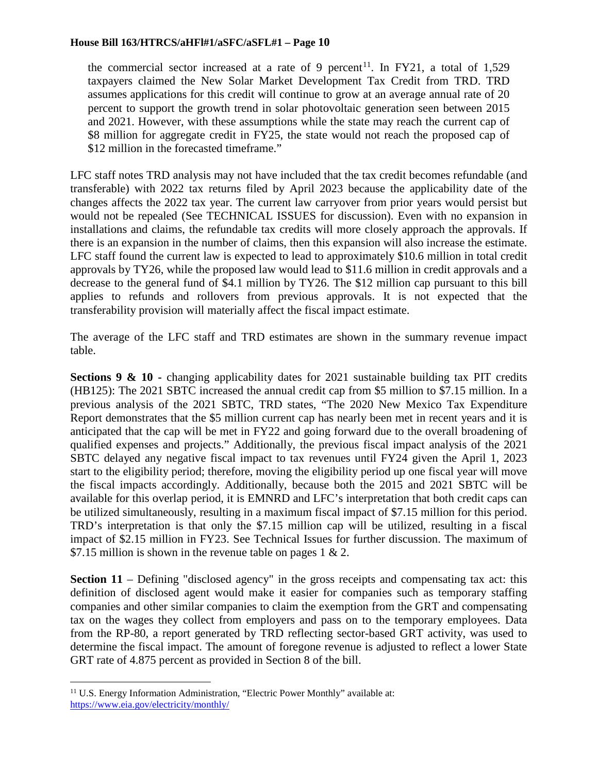the commercial sector increased at a rate of 9 percent<sup>11</sup>. In FY21, a total of 1,529 taxpayers claimed the New Solar Market Development Tax Credit from TRD. TRD assumes applications for this credit will continue to grow at an average annual rate of 20 percent to support the growth trend in solar photovoltaic generation seen between 2015 and 2021. However, with these assumptions while the state may reach the current cap of \$8 million for aggregate credit in FY25, the state would not reach the proposed cap of \$12 million in the forecasted timeframe."

LFC staff notes TRD analysis may not have included that the tax credit becomes refundable (and transferable) with 2022 tax returns filed by April 2023 because the applicability date of the changes affects the 2022 tax year. The current law carryover from prior years would persist but would not be repealed (See TECHNICAL ISSUES for discussion). Even with no expansion in installations and claims, the refundable tax credits will more closely approach the approvals. If there is an expansion in the number of claims, then this expansion will also increase the estimate. LFC staff found the current law is expected to lead to approximately \$10.6 million in total credit approvals by TY26, while the proposed law would lead to \$11.6 million in credit approvals and a decrease to the general fund of \$4.1 million by TY26. The \$12 million cap pursuant to this bill applies to refunds and rollovers from previous approvals. It is not expected that the transferability provision will materially affect the fiscal impact estimate.

The average of the LFC staff and TRD estimates are shown in the summary revenue impact table.

**Sections 9 & 10 -** changing applicability dates for 2021 sustainable building tax PIT credits (HB125): The 2021 SBTC increased the annual credit cap from \$5 million to \$7.15 million. In a previous analysis of the 2021 SBTC, TRD states, "The 2020 New Mexico Tax Expenditure Report demonstrates that the \$5 million current cap has nearly been met in recent years and it is anticipated that the cap will be met in FY22 and going forward due to the overall broadening of qualified expenses and projects." Additionally, the previous fiscal impact analysis of the 2021 SBTC delayed any negative fiscal impact to tax revenues until FY24 given the April 1, 2023 start to the eligibility period; therefore, moving the eligibility period up one fiscal year will move the fiscal impacts accordingly. Additionally, because both the 2015 and 2021 SBTC will be available for this overlap period, it is EMNRD and LFC's interpretation that both credit caps can be utilized simultaneously, resulting in a maximum fiscal impact of \$7.15 million for this period. TRD's interpretation is that only the \$7.15 million cap will be utilized, resulting in a fiscal impact of \$2.15 million in FY23. See Technical Issues for further discussion. The maximum of \$7.15 million is shown in the revenue table on pages  $1 \& 2$ .

**Section 11** – Defining "disclosed agency" in the gross receipts and compensating tax act: this definition of disclosed agent would make it easier for companies such as temporary staffing companies and other similar companies to claim the exemption from the GRT and compensating tax on the wages they collect from employers and pass on to the temporary employees. Data from the RP-80, a report generated by TRD reflecting sector-based GRT activity, was used to determine the fiscal impact. The amount of foregone revenue is adjusted to reflect a lower State GRT rate of 4.875 percent as provided in Section 8 of the bill.

<span id="page-9-0"></span><sup>&</sup>lt;sup>11</sup> U.S. Energy Information Administration, "Electric Power Monthly" available at: <https://www.eia.gov/electricity/monthly/>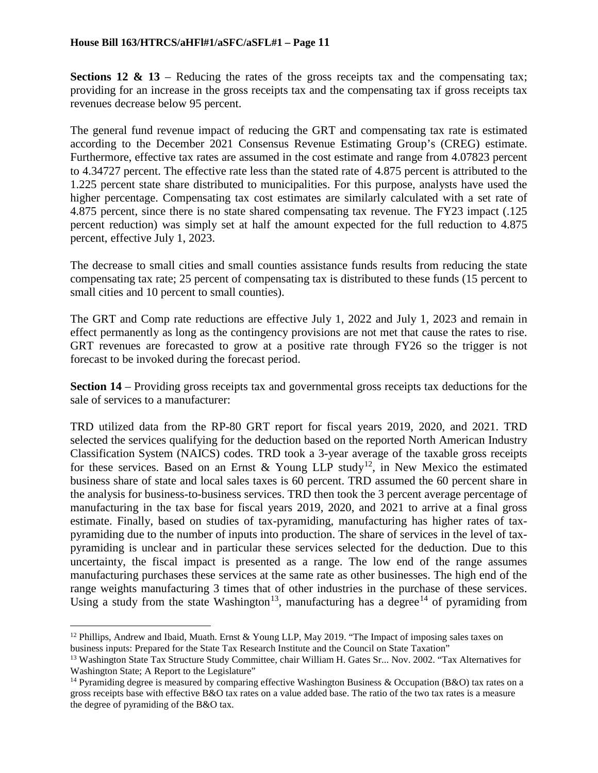**Sections 12 & 13** – Reducing the rates of the gross receipts tax and the compensating tax; providing for an increase in the gross receipts tax and the compensating tax if gross receipts tax revenues decrease below 95 percent.

The general fund revenue impact of reducing the GRT and compensating tax rate is estimated according to the December 2021 Consensus Revenue Estimating Group's (CREG) estimate. Furthermore, effective tax rates are assumed in the cost estimate and range from 4.07823 percent to 4.34727 percent. The effective rate less than the stated rate of 4.875 percent is attributed to the 1.225 percent state share distributed to municipalities. For this purpose, analysts have used the higher percentage. Compensating tax cost estimates are similarly calculated with a set rate of 4.875 percent, since there is no state shared compensating tax revenue. The FY23 impact (.125 percent reduction) was simply set at half the amount expected for the full reduction to 4.875 percent, effective July 1, 2023.

The decrease to small cities and small counties assistance funds results from reducing the state compensating tax rate; 25 percent of compensating tax is distributed to these funds (15 percent to small cities and 10 percent to small counties).

The GRT and Comp rate reductions are effective July 1, 2022 and July 1, 2023 and remain in effect permanently as long as the contingency provisions are not met that cause the rates to rise. GRT revenues are forecasted to grow at a positive rate through FY26 so the trigger is not forecast to be invoked during the forecast period.

**Section 14** – Providing gross receipts tax and governmental gross receipts tax deductions for the sale of services to a manufacturer:

TRD utilized data from the RP-80 GRT report for fiscal years 2019, 2020, and 2021. TRD selected the services qualifying for the deduction based on the reported North American Industry Classification System (NAICS) codes. TRD took a 3-year average of the taxable gross receipts for these services. Based on an Ernst & Young LLP study<sup>[12](#page-10-0)</sup>, in New Mexico the estimated business share of state and local sales taxes is 60 percent. TRD assumed the 60 percent share in the analysis for business-to-business services. TRD then took the 3 percent average percentage of manufacturing in the tax base for fiscal years 2019, 2020, and 2021 to arrive at a final gross estimate. Finally, based on studies of tax-pyramiding, manufacturing has higher rates of taxpyramiding due to the number of inputs into production. The share of services in the level of taxpyramiding is unclear and in particular these services selected for the deduction. Due to this uncertainty, the fiscal impact is presented as a range. The low end of the range assumes manufacturing purchases these services at the same rate as other businesses. The high end of the range weights manufacturing 3 times that of other industries in the purchase of these services. Using a study from the state Washington<sup>[13](#page-10-1)</sup>, manufacturing has a degree<sup>[14](#page-10-2)</sup> of pyramiding from

<span id="page-10-0"></span><sup>&</sup>lt;sup>12</sup> Phillips, Andrew and Ibaid, Muath. Ernst & Young LLP, May 2019. "The Impact of imposing sales taxes on business inputs: Prepared for the State Tax Research Institute and the Council on State Taxation"

<span id="page-10-1"></span><sup>&</sup>lt;sup>13</sup> Washington State Tax Structure Study Committee, chair William H. Gates Sr... Nov. 2002. "Tax Alternatives for Washington State; A Report to the Legislature"

<span id="page-10-2"></span><sup>&</sup>lt;sup>14</sup> Pyramiding degree is measured by comparing effective Washington Business & Occupation (B&O) tax rates on a gross receipts base with effective B&O tax rates on a value added base. The ratio of the two tax rates is a measure the degree of pyramiding of the B&O tax.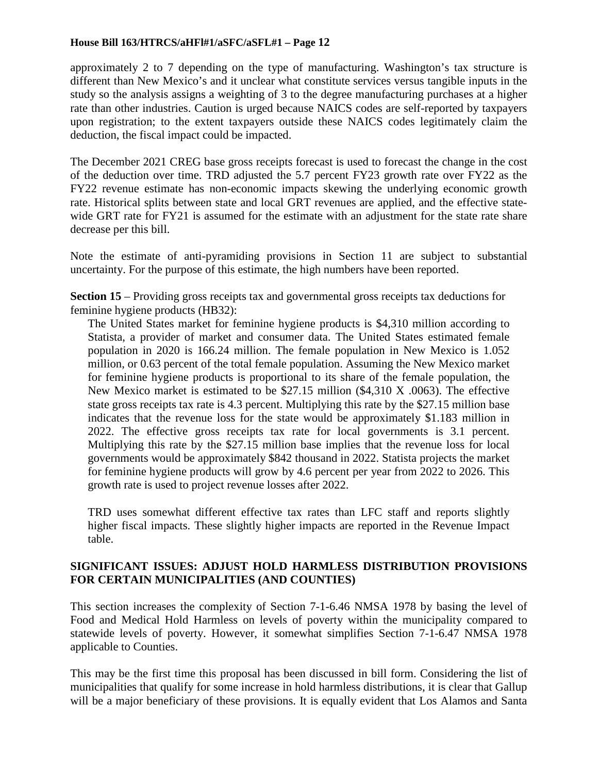approximately 2 to 7 depending on the type of manufacturing. Washington's tax structure is different than New Mexico's and it unclear what constitute services versus tangible inputs in the study so the analysis assigns a weighting of 3 to the degree manufacturing purchases at a higher rate than other industries. Caution is urged because NAICS codes are self-reported by taxpayers upon registration; to the extent taxpayers outside these NAICS codes legitimately claim the deduction, the fiscal impact could be impacted.

The December 2021 CREG base gross receipts forecast is used to forecast the change in the cost of the deduction over time. TRD adjusted the 5.7 percent FY23 growth rate over FY22 as the FY22 revenue estimate has non-economic impacts skewing the underlying economic growth rate. Historical splits between state and local GRT revenues are applied, and the effective statewide GRT rate for FY21 is assumed for the estimate with an adjustment for the state rate share decrease per this bill.

Note the estimate of anti-pyramiding provisions in Section 11 are subject to substantial uncertainty. For the purpose of this estimate, the high numbers have been reported.

**Section 15** – Providing gross receipts tax and governmental gross receipts tax deductions for feminine hygiene products (HB32):

The United States market for feminine hygiene products is \$4,310 million according to Statista, a provider of market and consumer data. The United States estimated female population in 2020 is 166.24 million. The female population in New Mexico is 1.052 million, or 0.63 percent of the total female population. Assuming the New Mexico market for feminine hygiene products is proportional to its share of the female population, the New Mexico market is estimated to be \$27.15 million (\$4,310 X .0063). The effective state gross receipts tax rate is 4.3 percent. Multiplying this rate by the \$27.15 million base indicates that the revenue loss for the state would be approximately \$1.183 million in 2022. The effective gross receipts tax rate for local governments is 3.1 percent. Multiplying this rate by the \$27.15 million base implies that the revenue loss for local governments would be approximately \$842 thousand in 2022. Statista projects the market for feminine hygiene products will grow by 4.6 percent per year from 2022 to 2026. This growth rate is used to project revenue losses after 2022.

TRD uses somewhat different effective tax rates than LFC staff and reports slightly higher fiscal impacts. These slightly higher impacts are reported in the Revenue Impact table.

## **SIGNIFICANT ISSUES: ADJUST HOLD HARMLESS DISTRIBUTION PROVISIONS FOR CERTAIN MUNICIPALITIES (AND COUNTIES)**

This section increases the complexity of Section 7-1-6.46 NMSA 1978 by basing the level of Food and Medical Hold Harmless on levels of poverty within the municipality compared to statewide levels of poverty. However, it somewhat simplifies Section 7-1-6.47 NMSA 1978 applicable to Counties.

This may be the first time this proposal has been discussed in bill form. Considering the list of municipalities that qualify for some increase in hold harmless distributions, it is clear that Gallup will be a major beneficiary of these provisions. It is equally evident that Los Alamos and Santa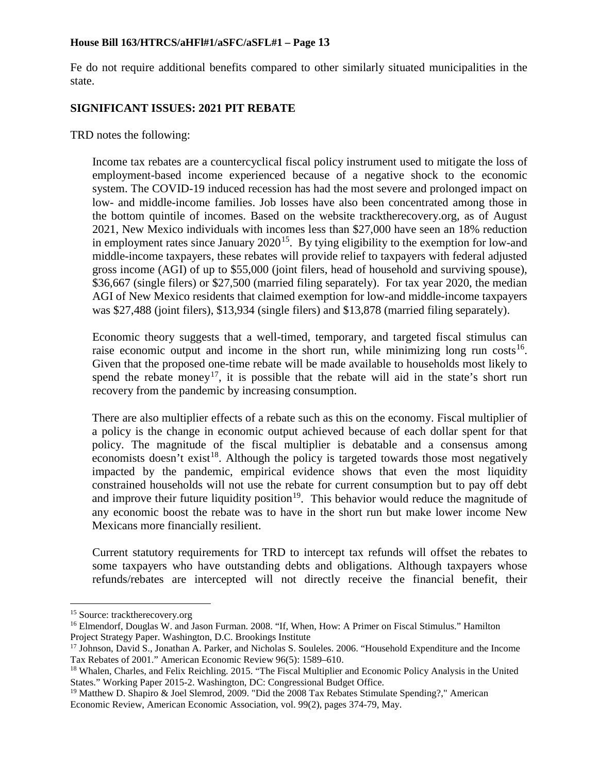Fe do not require additional benefits compared to other similarly situated municipalities in the state.

### **SIGNIFICANT ISSUES: 2021 PIT REBATE**

TRD notes the following:

Income tax rebates are a countercyclical fiscal policy instrument used to mitigate the loss of employment-based income experienced because of a negative shock to the economic system. The COVID-19 induced recession has had the most severe and prolonged impact on low- and middle-income families. Job losses have also been concentrated among those in the bottom quintile of incomes. Based on the website tracktherecovery.org, as of August 2021, New Mexico individuals with incomes less than \$27,000 have seen an 18% reduction in employment rates since January  $2020^{15}$ . By tying eligibility to the exemption for low-and middle-income taxpayers, these rebates will provide relief to taxpayers with federal adjusted gross income (AGI) of up to \$55,000 (joint filers, head of household and surviving spouse), \$36,667 (single filers) or \$27,500 (married filing separately). For tax year 2020, the median AGI of New Mexico residents that claimed exemption for low-and middle-income taxpayers was \$27,488 (joint filers), \$13,934 (single filers) and \$13,878 (married filing separately).

Economic theory suggests that a well-timed, temporary, and targeted fiscal stimulus can raise economic output and income in the short run, while minimizing long run  $costs<sup>16</sup>$  $costs<sup>16</sup>$  $costs<sup>16</sup>$ . Given that the proposed one-time rebate will be made available to households most likely to spend the rebate money<sup>17</sup>, it is possible that the rebate will aid in the state's short run recovery from the pandemic by increasing consumption.

There are also multiplier effects of a rebate such as this on the economy. Fiscal multiplier of a policy is the change in economic output achieved because of each dollar spent for that policy. The magnitude of the fiscal multiplier is debatable and a consensus among economists doesn't exist<sup>18</sup>. Although the policy is targeted towards those most negatively impacted by the pandemic, empirical evidence shows that even the most liquidity constrained households will not use the rebate for current consumption but to pay off debt and improve their future liquidity position<sup>[19](#page-12-4)</sup>. This behavior would reduce the magnitude of any economic boost the rebate was to have in the short run but make lower income New Mexicans more financially resilient.

Current statutory requirements for TRD to intercept tax refunds will offset the rebates to some taxpayers who have outstanding debts and obligations. Although taxpayers whose refunds/rebates are intercepted will not directly receive the financial benefit, their

<span id="page-12-1"></span><span id="page-12-0"></span><sup>&</sup>lt;sup>15</sup> Source: tracktherecovery.org<br><sup>16</sup> Elmendorf, Douglas W. and Jason Furman. 2008. "If, When, How: A Primer on Fiscal Stimulus." Hamilton Project Strategy Paper. Washington, D.C. Brookings Institute

<span id="page-12-2"></span><sup>&</sup>lt;sup>17</sup> Johnson, David S., Jonathan A. Parker, and Nicholas S. Souleles. 2006. "Household Expenditure and the Income Tax Rebates of 2001." American Economic Review 96(5): 1589–610.

<span id="page-12-3"></span><sup>&</sup>lt;sup>18</sup> Whalen, Charles, and Felix Reichling. 2015. "The Fiscal Multiplier and Economic Policy Analysis in the United States." Working Paper 2015-2. Washington, DC: Congressional Budget Office.

<span id="page-12-4"></span><sup>&</sup>lt;sup>19</sup> Matthew D. Shapiro & Joel Slemrod, 2009. "Did the 2008 Tax Rebates Stimulate Spending?," American Economic Review, American Economic Association, vol. 99(2), pages 374-79, May.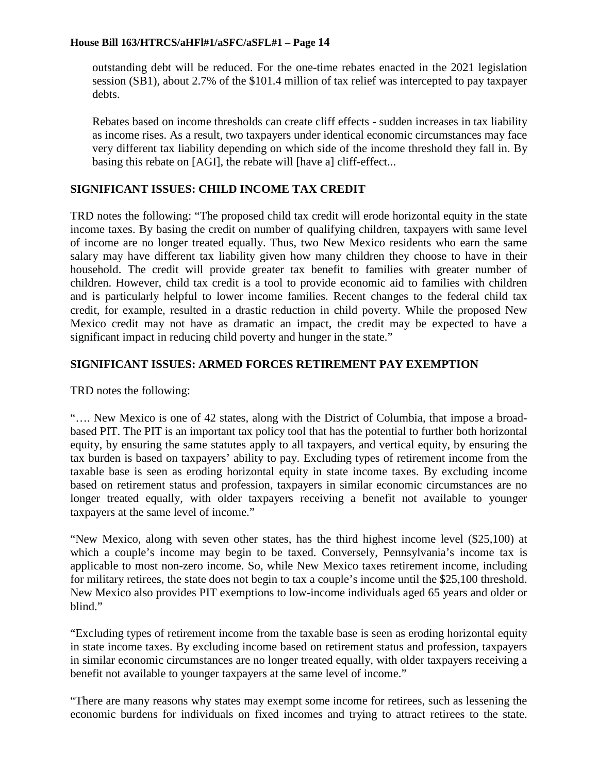outstanding debt will be reduced. For the one-time rebates enacted in the 2021 legislation session (SB1), about 2.7% of the \$101.4 million of tax relief was intercepted to pay taxpayer debts.

Rebates based on income thresholds can create cliff effects - sudden increases in tax liability as income rises. As a result, two taxpayers under identical economic circumstances may face very different tax liability depending on which side of the income threshold they fall in. By basing this rebate on [AGI], the rebate will [have a] cliff-effect...

## **SIGNIFICANT ISSUES: CHILD INCOME TAX CREDIT**

TRD notes the following: "The proposed child tax credit will erode horizontal equity in the state income taxes. By basing the credit on number of qualifying children, taxpayers with same level of income are no longer treated equally. Thus, two New Mexico residents who earn the same salary may have different tax liability given how many children they choose to have in their household. The credit will provide greater tax benefit to families with greater number of children. However, child tax credit is a tool to provide economic aid to families with children and is particularly helpful to lower income families. Recent changes to the federal child tax credit, for example, resulted in a drastic reduction in child poverty. While the proposed New Mexico credit may not have as dramatic an impact, the credit may be expected to have a significant impact in reducing child poverty and hunger in the state."

## **SIGNIFICANT ISSUES: ARMED FORCES RETIREMENT PAY EXEMPTION**

TRD notes the following:

"…. New Mexico is one of 42 states, along with the District of Columbia, that impose a broadbased PIT. The PIT is an important tax policy tool that has the potential to further both horizontal equity, by ensuring the same statutes apply to all taxpayers, and vertical equity, by ensuring the tax burden is based on taxpayers' ability to pay. Excluding types of retirement income from the taxable base is seen as eroding horizontal equity in state income taxes. By excluding income based on retirement status and profession, taxpayers in similar economic circumstances are no longer treated equally, with older taxpayers receiving a benefit not available to younger taxpayers at the same level of income."

"New Mexico, along with seven other states, has the third highest income level (\$25,100) at which a couple's income may begin to be taxed. Conversely, Pennsylvania's income tax is applicable to most non-zero income. So, while New Mexico taxes retirement income, including for military retirees, the state does not begin to tax a couple's income until the \$25,100 threshold. New Mexico also provides PIT exemptions to low-income individuals aged 65 years and older or blind."

"Excluding types of retirement income from the taxable base is seen as eroding horizontal equity in state income taxes. By excluding income based on retirement status and profession, taxpayers in similar economic circumstances are no longer treated equally, with older taxpayers receiving a benefit not available to younger taxpayers at the same level of income."

"There are many reasons why states may exempt some income for retirees, such as lessening the economic burdens for individuals on fixed incomes and trying to attract retirees to the state.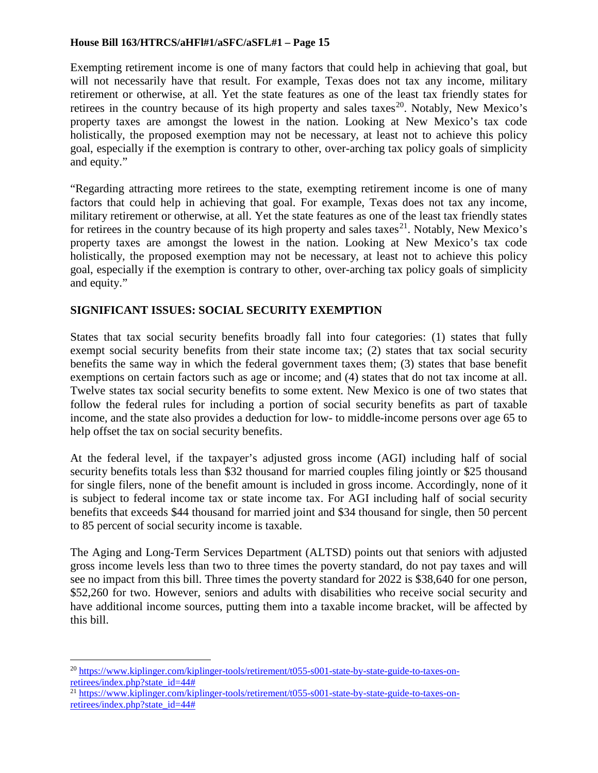Exempting retirement income is one of many factors that could help in achieving that goal, but will not necessarily have that result. For example, Texas does not tax any income, military retirement or otherwise, at all. Yet the state features as one of the least tax friendly states for retirees in the country because of its high property and sales taxes<sup>20</sup>. Notably, New Mexico's property taxes are amongst the lowest in the nation. Looking at New Mexico's tax code holistically, the proposed exemption may not be necessary, at least not to achieve this policy goal, especially if the exemption is contrary to other, over-arching tax policy goals of simplicity and equity."

"Regarding attracting more retirees to the state, exempting retirement income is one of many factors that could help in achieving that goal. For example, Texas does not tax any income, military retirement or otherwise, at all. Yet the state features as one of the least tax friendly states for retirees in the country because of its high property and sales taxes<sup>[21](#page-14-1)</sup>. Notably, New Mexico's property taxes are amongst the lowest in the nation. Looking at New Mexico's tax code holistically, the proposed exemption may not be necessary, at least not to achieve this policy goal, especially if the exemption is contrary to other, over-arching tax policy goals of simplicity and equity."

## **SIGNIFICANT ISSUES: SOCIAL SECURITY EXEMPTION**

States that tax social security benefits broadly fall into four categories: (1) states that fully exempt social security benefits from their state income tax; (2) states that tax social security benefits the same way in which the federal government taxes them; (3) states that base benefit exemptions on certain factors such as age or income; and (4) states that do not tax income at all. Twelve states tax social security benefits to some extent. New Mexico is one of two states that follow the federal rules for including a portion of social security benefits as part of taxable income, and the state also provides a deduction for low- to middle-income persons over age 65 to help offset the tax on social security benefits.

At the federal level, if the taxpayer's adjusted gross income (AGI) including half of social security benefits totals less than \$32 thousand for married couples filing jointly or \$25 thousand for single filers, none of the benefit amount is included in gross income. Accordingly, none of it is subject to federal income tax or state income tax. For AGI including half of social security benefits that exceeds \$44 thousand for married joint and \$34 thousand for single, then 50 percent to 85 percent of social security income is taxable.

The Aging and Long-Term Services Department (ALTSD) points out that seniors with adjusted gross income levels less than two to three times the poverty standard, do not pay taxes and will see no impact from this bill. Three times the poverty standard for 2022 is \$38,640 for one person, \$52,260 for two. However, seniors and adults with disabilities who receive social security and have additional income sources, putting them into a taxable income bracket, will be affected by this bill.

<span id="page-14-0"></span> <sup>20</sup> [https://www.kiplinger.com/kiplinger-tools/retirement/t055-s001-state-by-state-guide-to-taxes-on](https://www.kiplinger.com/kiplinger-tools/retirement/t055-s001-state-by-state-guide-to-taxes-on-retirees/index.php?state_id=44)[retirees/index.php?state\\_id=44#](https://www.kiplinger.com/kiplinger-tools/retirement/t055-s001-state-by-state-guide-to-taxes-on-retirees/index.php?state_id=44)

<span id="page-14-1"></span><sup>&</sup>lt;sup>21</sup> [https://www.kiplinger.com/kiplinger-tools/retirement/t055-s001-state-by-state-guide-to-taxes-on](https://www.kiplinger.com/kiplinger-tools/retirement/t055-s001-state-by-state-guide-to-taxes-on-retirees/index.php?state_id=44)[retirees/index.php?state\\_id=44#](https://www.kiplinger.com/kiplinger-tools/retirement/t055-s001-state-by-state-guide-to-taxes-on-retirees/index.php?state_id=44)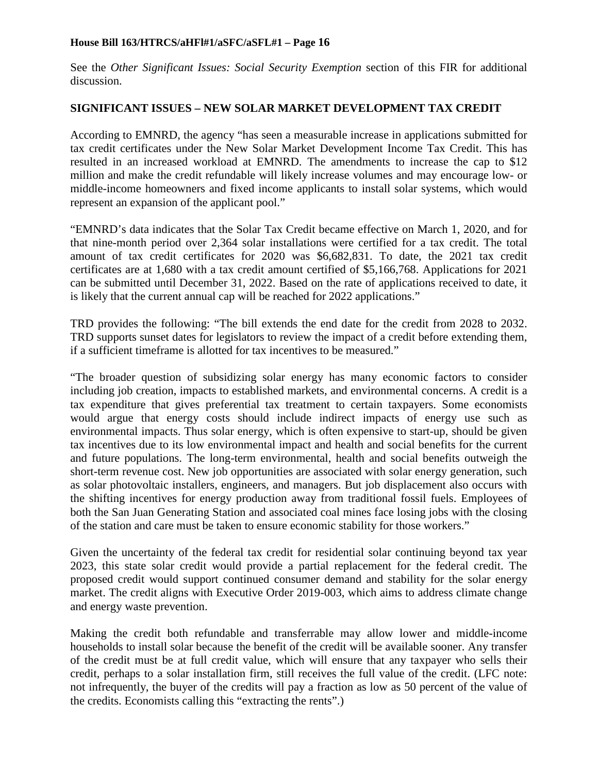See the *Other Significant Issues: Social Security Exemption* section of this FIR for additional discussion.

## **SIGNIFICANT ISSUES – NEW SOLAR MARKET DEVELOPMENT TAX CREDIT**

According to EMNRD, the agency "has seen a measurable increase in applications submitted for tax credit certificates under the New Solar Market Development Income Tax Credit. This has resulted in an increased workload at EMNRD. The amendments to increase the cap to \$12 million and make the credit refundable will likely increase volumes and may encourage low- or middle-income homeowners and fixed income applicants to install solar systems, which would represent an expansion of the applicant pool."

"EMNRD's data indicates that the Solar Tax Credit became effective on March 1, 2020, and for that nine-month period over 2,364 solar installations were certified for a tax credit. The total amount of tax credit certificates for 2020 was \$6,682,831. To date, the 2021 tax credit certificates are at 1,680 with a tax credit amount certified of \$5,166,768. Applications for 2021 can be submitted until December 31, 2022. Based on the rate of applications received to date, it is likely that the current annual cap will be reached for 2022 applications."

TRD provides the following: "The bill extends the end date for the credit from 2028 to 2032. TRD supports sunset dates for legislators to review the impact of a credit before extending them, if a sufficient timeframe is allotted for tax incentives to be measured."

"The broader question of subsidizing solar energy has many economic factors to consider including job creation, impacts to established markets, and environmental concerns. A credit is a tax expenditure that gives preferential tax treatment to certain taxpayers. Some economists would argue that energy costs should include indirect impacts of energy use such as environmental impacts. Thus solar energy, which is often expensive to start-up, should be given tax incentives due to its low environmental impact and health and social benefits for the current and future populations. The long-term environmental, health and social benefits outweigh the short-term revenue cost. New job opportunities are associated with solar energy generation, such as solar photovoltaic installers, engineers, and managers. But job displacement also occurs with the shifting incentives for energy production away from traditional fossil fuels. Employees of both the San Juan Generating Station and associated coal mines face losing jobs with the closing of the station and care must be taken to ensure economic stability for those workers."

Given the uncertainty of the federal tax credit for residential solar continuing beyond tax year 2023, this state solar credit would provide a partial replacement for the federal credit. The proposed credit would support continued consumer demand and stability for the solar energy market. The credit aligns with Executive Order 2019-003, which aims to address climate change and energy waste prevention.

Making the credit both refundable and transferrable may allow lower and middle-income households to install solar because the benefit of the credit will be available sooner. Any transfer of the credit must be at full credit value, which will ensure that any taxpayer who sells their credit, perhaps to a solar installation firm, still receives the full value of the credit. (LFC note: not infrequently, the buyer of the credits will pay a fraction as low as 50 percent of the value of the credits. Economists calling this "extracting the rents".)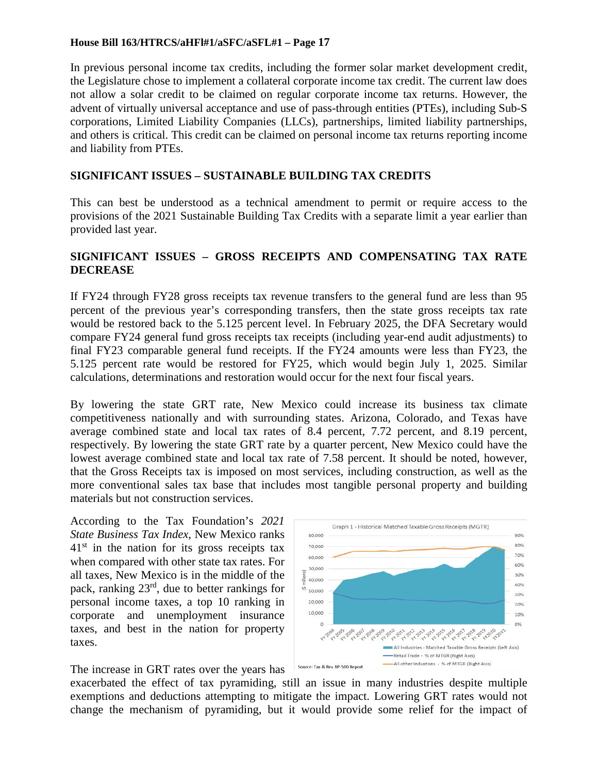In previous personal income tax credits, including the former solar market development credit, the Legislature chose to implement a collateral corporate income tax credit. The current law does not allow a solar credit to be claimed on regular corporate income tax returns. However, the advent of virtually universal acceptance and use of pass-through entities (PTEs), including Sub-S corporations, Limited Liability Companies (LLCs), partnerships, limited liability partnerships, and others is critical. This credit can be claimed on personal income tax returns reporting income and liability from PTEs.

## **SIGNIFICANT ISSUES – SUSTAINABLE BUILDING TAX CREDITS**

This can best be understood as a technical amendment to permit or require access to the provisions of the 2021 Sustainable Building Tax Credits with a separate limit a year earlier than provided last year.

### **SIGNIFICANT ISSUES – GROSS RECEIPTS AND COMPENSATING TAX RATE DECREASE**

If FY24 through FY28 gross receipts tax revenue transfers to the general fund are less than 95 percent of the previous year's corresponding transfers, then the state gross receipts tax rate would be restored back to the 5.125 percent level. In February 2025, the DFA Secretary would compare FY24 general fund gross receipts tax receipts (including year-end audit adjustments) to final FY23 comparable general fund receipts. If the FY24 amounts were less than FY23, the 5.125 percent rate would be restored for FY25, which would begin July 1, 2025. Similar calculations, determinations and restoration would occur for the next four fiscal years.

By lowering the state GRT rate, New Mexico could increase its business tax climate competitiveness nationally and with surrounding states. Arizona, Colorado, and Texas have average combined state and local tax rates of 8.4 percent, 7.72 percent, and 8.19 percent, respectively. By lowering the state GRT rate by a quarter percent, New Mexico could have the lowest average combined state and local tax rate of 7.58 percent. It should be noted, however, that the Gross Receipts tax is imposed on most services, including construction, as well as the more conventional sales tax base that includes most tangible personal property and building materials but not construction services.

According to the Tax Foundation's *2021 State Business Tax Index*, New Mexico ranks  $41<sup>st</sup>$  in the nation for its gross receipts tax when compared with other state tax rates. For all taxes, New Mexico is in the middle of the pack, ranking 23rd, due to better rankings for personal income taxes, a top 10 ranking in corporate and unemployment insurance taxes, and best in the nation for property taxes.



The increase in GRT rates over the years has

exacerbated the effect of tax pyramiding, still an issue in many industries despite multiple exemptions and deductions attempting to mitigate the impact. Lowering GRT rates would not change the mechanism of pyramiding, but it would provide some relief for the impact of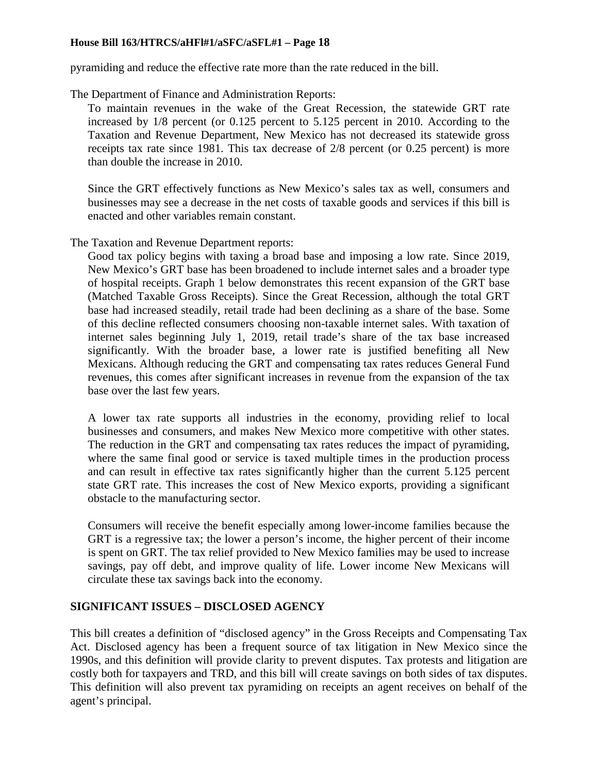pyramiding and reduce the effective rate more than the rate reduced in the bill.

The Department of Finance and Administration Reports:

To maintain revenues in the wake of the Great Recession, the statewide GRT rate increased by 1/8 percent (or 0.125 percent to 5.125 percent in 2010. According to the Taxation and Revenue Department, New Mexico has not decreased its statewide gross receipts tax rate since 1981. This tax decrease of 2/8 percent (or 0.25 percent) is more than double the increase in 2010.

Since the GRT effectively functions as New Mexico's sales tax as well, consumers and businesses may see a decrease in the net costs of taxable goods and services if this bill is enacted and other variables remain constant.

The Taxation and Revenue Department reports:

Good tax policy begins with taxing a broad base and imposing a low rate. Since 2019, New Mexico's GRT base has been broadened to include internet sales and a broader type of hospital receipts. Graph 1 below demonstrates this recent expansion of the GRT base (Matched Taxable Gross Receipts). Since the Great Recession, although the total GRT base had increased steadily, retail trade had been declining as a share of the base. Some of this decline reflected consumers choosing non-taxable internet sales. With taxation of internet sales beginning July 1, 2019, retail trade's share of the tax base increased significantly. With the broader base, a lower rate is justified benefiting all New Mexicans. Although reducing the GRT and compensating tax rates reduces General Fund revenues, this comes after significant increases in revenue from the expansion of the tax base over the last few years.

A lower tax rate supports all industries in the economy, providing relief to local businesses and consumers, and makes New Mexico more competitive with other states. The reduction in the GRT and compensating tax rates reduces the impact of pyramiding, where the same final good or service is taxed multiple times in the production process and can result in effective tax rates significantly higher than the current 5.125 percent state GRT rate. This increases the cost of New Mexico exports, providing a significant obstacle to the manufacturing sector.

Consumers will receive the benefit especially among lower-income families because the GRT is a regressive tax; the lower a person's income, the higher percent of their income is spent on GRT. The tax relief provided to New Mexico families may be used to increase savings, pay off debt, and improve quality of life. Lower income New Mexicans will circulate these tax savings back into the economy.

## **SIGNIFICANT ISSUES – DISCLOSED AGENCY**

This bill creates a definition of "disclosed agency" in the Gross Receipts and Compensating Tax Act. Disclosed agency has been a frequent source of tax litigation in New Mexico since the 1990s, and this definition will provide clarity to prevent disputes. Tax protests and litigation are costly both for taxpayers and TRD, and this bill will create savings on both sides of tax disputes. This definition will also prevent tax pyramiding on receipts an agent receives on behalf of the agent's principal.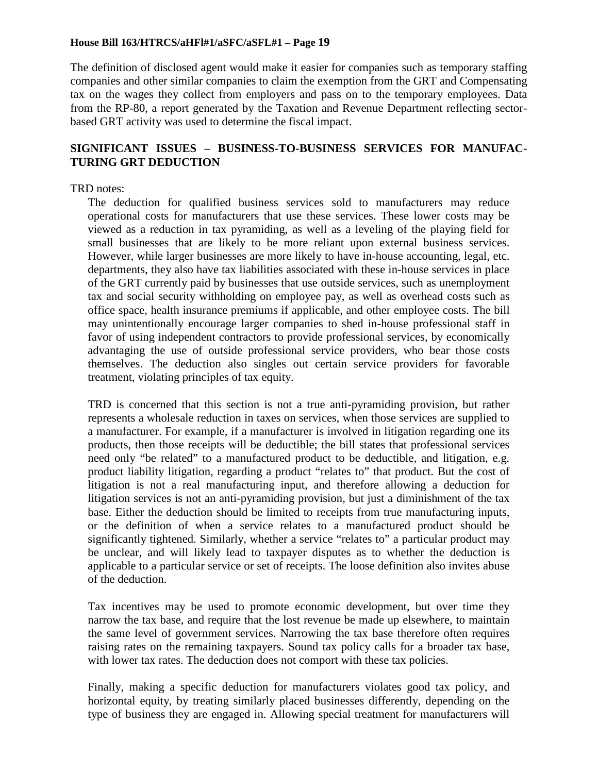The definition of disclosed agent would make it easier for companies such as temporary staffing companies and other similar companies to claim the exemption from the GRT and Compensating tax on the wages they collect from employers and pass on to the temporary employees. Data from the RP-80, a report generated by the Taxation and Revenue Department reflecting sectorbased GRT activity was used to determine the fiscal impact.

## **SIGNIFICANT ISSUES – BUSINESS-TO-BUSINESS SERVICES FOR MANUFAC-TURING GRT DEDUCTION**

#### TRD notes:

The deduction for qualified business services sold to manufacturers may reduce operational costs for manufacturers that use these services. These lower costs may be viewed as a reduction in tax pyramiding, as well as a leveling of the playing field for small businesses that are likely to be more reliant upon external business services. However, while larger businesses are more likely to have in-house accounting, legal, etc. departments, they also have tax liabilities associated with these in-house services in place of the GRT currently paid by businesses that use outside services, such as unemployment tax and social security withholding on employee pay, as well as overhead costs such as office space, health insurance premiums if applicable, and other employee costs. The bill may unintentionally encourage larger companies to shed in-house professional staff in favor of using independent contractors to provide professional services, by economically advantaging the use of outside professional service providers, who bear those costs themselves. The deduction also singles out certain service providers for favorable treatment, violating principles of tax equity.

TRD is concerned that this section is not a true anti-pyramiding provision, but rather represents a wholesale reduction in taxes on services, when those services are supplied to a manufacturer. For example, if a manufacturer is involved in litigation regarding one its products, then those receipts will be deductible; the bill states that professional services need only "be related" to a manufactured product to be deductible, and litigation, e.g. product liability litigation, regarding a product "relates to" that product. But the cost of litigation is not a real manufacturing input, and therefore allowing a deduction for litigation services is not an anti-pyramiding provision, but just a diminishment of the tax base. Either the deduction should be limited to receipts from true manufacturing inputs, or the definition of when a service relates to a manufactured product should be significantly tightened. Similarly, whether a service "relates to" a particular product may be unclear, and will likely lead to taxpayer disputes as to whether the deduction is applicable to a particular service or set of receipts. The loose definition also invites abuse of the deduction.

Tax incentives may be used to promote economic development, but over time they narrow the tax base, and require that the lost revenue be made up elsewhere, to maintain the same level of government services. Narrowing the tax base therefore often requires raising rates on the remaining taxpayers. Sound tax policy calls for a broader tax base, with lower tax rates. The deduction does not comport with these tax policies.

Finally, making a specific deduction for manufacturers violates good tax policy, and horizontal equity, by treating similarly placed businesses differently, depending on the type of business they are engaged in. Allowing special treatment for manufacturers will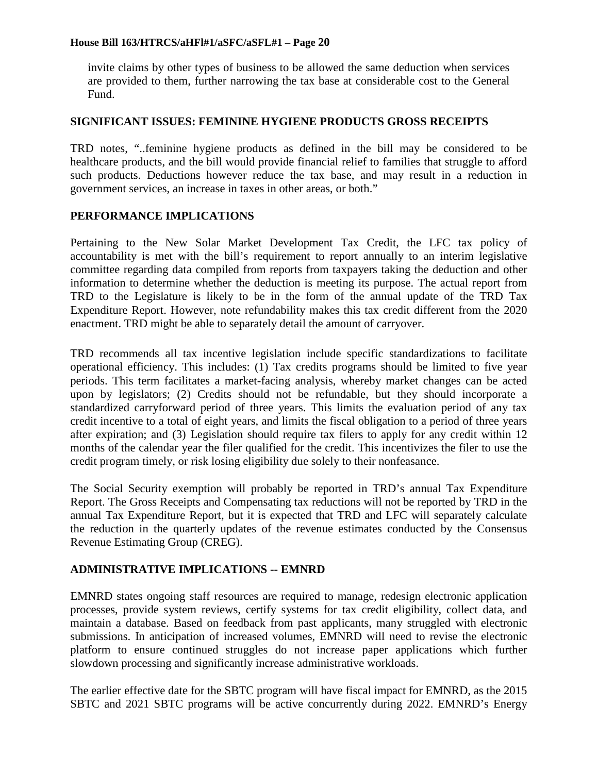invite claims by other types of business to be allowed the same deduction when services are provided to them, further narrowing the tax base at considerable cost to the General Fund.

#### **SIGNIFICANT ISSUES: FEMININE HYGIENE PRODUCTS GROSS RECEIPTS**

TRD notes, "..feminine hygiene products as defined in the bill may be considered to be healthcare products, and the bill would provide financial relief to families that struggle to afford such products. Deductions however reduce the tax base, and may result in a reduction in government services, an increase in taxes in other areas, or both."

#### **PERFORMANCE IMPLICATIONS**

Pertaining to the New Solar Market Development Tax Credit, the LFC tax policy of accountability is met with the bill's requirement to report annually to an interim legislative committee regarding data compiled from reports from taxpayers taking the deduction and other information to determine whether the deduction is meeting its purpose. The actual report from TRD to the Legislature is likely to be in the form of the annual update of the TRD Tax Expenditure Report. However, note refundability makes this tax credit different from the 2020 enactment. TRD might be able to separately detail the amount of carryover.

TRD recommends all tax incentive legislation include specific standardizations to facilitate operational efficiency. This includes: (1) Tax credits programs should be limited to five year periods. This term facilitates a market-facing analysis, whereby market changes can be acted upon by legislators; (2) Credits should not be refundable, but they should incorporate a standardized carryforward period of three years. This limits the evaluation period of any tax credit incentive to a total of eight years, and limits the fiscal obligation to a period of three years after expiration; and (3) Legislation should require tax filers to apply for any credit within 12 months of the calendar year the filer qualified for the credit. This incentivizes the filer to use the credit program timely, or risk losing eligibility due solely to their nonfeasance.

The Social Security exemption will probably be reported in TRD's annual Tax Expenditure Report. The Gross Receipts and Compensating tax reductions will not be reported by TRD in the annual Tax Expenditure Report, but it is expected that TRD and LFC will separately calculate the reduction in the quarterly updates of the revenue estimates conducted by the Consensus Revenue Estimating Group (CREG).

### **ADMINISTRATIVE IMPLICATIONS -- EMNRD**

EMNRD states ongoing staff resources are required to manage, redesign electronic application processes, provide system reviews, certify systems for tax credit eligibility, collect data, and maintain a database. Based on feedback from past applicants, many struggled with electronic submissions. In anticipation of increased volumes, EMNRD will need to revise the electronic platform to ensure continued struggles do not increase paper applications which further slowdown processing and significantly increase administrative workloads.

The earlier effective date for the SBTC program will have fiscal impact for EMNRD, as the 2015 SBTC and 2021 SBTC programs will be active concurrently during 2022. EMNRD's Energy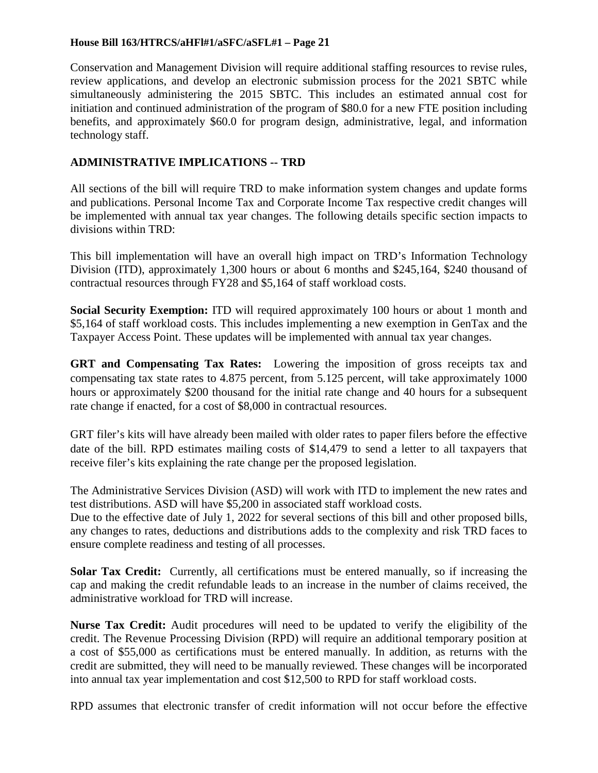Conservation and Management Division will require additional staffing resources to revise rules, review applications, and develop an electronic submission process for the 2021 SBTC while simultaneously administering the 2015 SBTC. This includes an estimated annual cost for initiation and continued administration of the program of \$80.0 for a new FTE position including benefits, and approximately \$60.0 for program design, administrative, legal, and information technology staff.

## **ADMINISTRATIVE IMPLICATIONS -- TRD**

All sections of the bill will require TRD to make information system changes and update forms and publications. Personal Income Tax and Corporate Income Tax respective credit changes will be implemented with annual tax year changes. The following details specific section impacts to divisions within TRD:

This bill implementation will have an overall high impact on TRD's Information Technology Division (ITD), approximately 1,300 hours or about 6 months and \$245,164, \$240 thousand of contractual resources through FY28 and \$5,164 of staff workload costs.

**Social Security Exemption:** ITD will required approximately 100 hours or about 1 month and \$5,164 of staff workload costs. This includes implementing a new exemption in GenTax and the Taxpayer Access Point. These updates will be implemented with annual tax year changes.

**GRT and Compensating Tax Rates:** Lowering the imposition of gross receipts tax and compensating tax state rates to 4.875 percent, from 5.125 percent, will take approximately 1000 hours or approximately \$200 thousand for the initial rate change and 40 hours for a subsequent rate change if enacted, for a cost of \$8,000 in contractual resources.

GRT filer's kits will have already been mailed with older rates to paper filers before the effective date of the bill. RPD estimates mailing costs of \$14,479 to send a letter to all taxpayers that receive filer's kits explaining the rate change per the proposed legislation.

The Administrative Services Division (ASD) will work with ITD to implement the new rates and test distributions. ASD will have \$5,200 in associated staff workload costs.

Due to the effective date of July 1, 2022 for several sections of this bill and other proposed bills, any changes to rates, deductions and distributions adds to the complexity and risk TRD faces to ensure complete readiness and testing of all processes.

**Solar Tax Credit:** Currently, all certifications must be entered manually, so if increasing the cap and making the credit refundable leads to an increase in the number of claims received, the administrative workload for TRD will increase.

**Nurse Tax Credit:** Audit procedures will need to be updated to verify the eligibility of the credit. The Revenue Processing Division (RPD) will require an additional temporary position at a cost of \$55,000 as certifications must be entered manually. In addition, as returns with the credit are submitted, they will need to be manually reviewed. These changes will be incorporated into annual tax year implementation and cost \$12,500 to RPD for staff workload costs.

RPD assumes that electronic transfer of credit information will not occur before the effective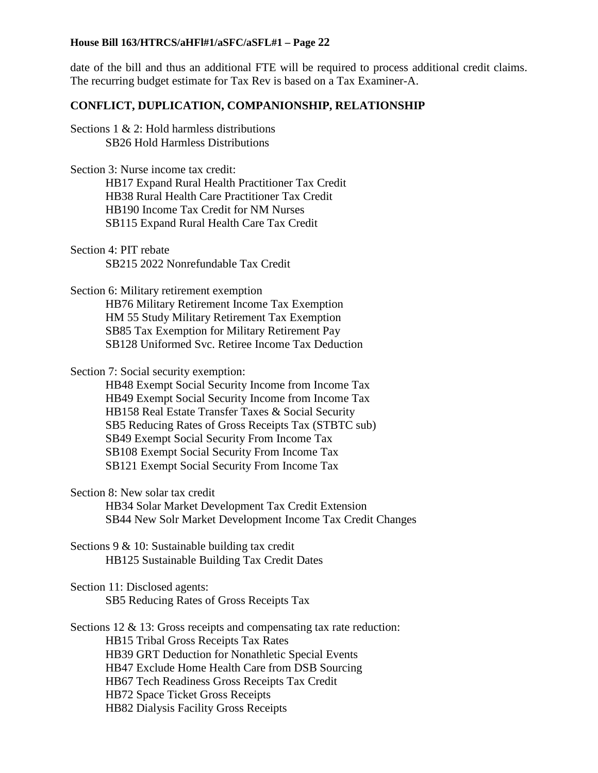date of the bill and thus an additional FTE will be required to process additional credit claims. The recurring budget estimate for Tax Rev is based on a Tax Examiner-A.

#### **CONFLICT, DUPLICATION, COMPANIONSHIP, RELATIONSHIP**

Sections 1 & 2: Hold harmless distributions SB26 Hold Harmless Distributions

Section 3: Nurse income tax credit: HB17 Expand Rural Health Practitioner Tax Credit HB38 Rural Health Care Practitioner Tax Credit HB190 Income Tax Credit for NM Nurses SB115 Expand Rural Health Care Tax Credit

Section 4: PIT rebate SB215 2022 Nonrefundable Tax Credit

Section 6: Military retirement exemption HB76 Military Retirement Income Tax Exemption HM 55 Study Military Retirement Tax Exemption SB85 Tax Exemption for Military Retirement Pay SB128 Uniformed Svc. Retiree Income Tax Deduction

Section 7: Social security exemption:

HB48 Exempt Social Security Income from Income Tax HB49 Exempt Social Security Income from Income Tax HB158 Real Estate Transfer Taxes & Social Security SB5 Reducing Rates of Gross Receipts Tax (STBTC sub) SB49 Exempt Social Security From Income Tax SB108 Exempt Social Security From Income Tax SB121 Exempt Social Security From Income Tax

Section 8: New solar tax credit

HB34 Solar Market Development Tax Credit Extension SB44 New Solr Market Development Income Tax Credit Changes

Sections 9 & 10: Sustainable building tax credit HB125 Sustainable Building Tax Credit Dates

Section 11: Disclosed agents: SB5 Reducing Rates of Gross Receipts Tax

Sections 12 & 13: Gross receipts and compensating tax rate reduction: HB15 Tribal Gross Receipts Tax Rates HB39 GRT Deduction for Nonathletic Special Events HB47 Exclude Home Health Care from DSB Sourcing HB67 Tech Readiness Gross Receipts Tax Credit HB72 Space Ticket Gross Receipts HB82 Dialysis Facility Gross Receipts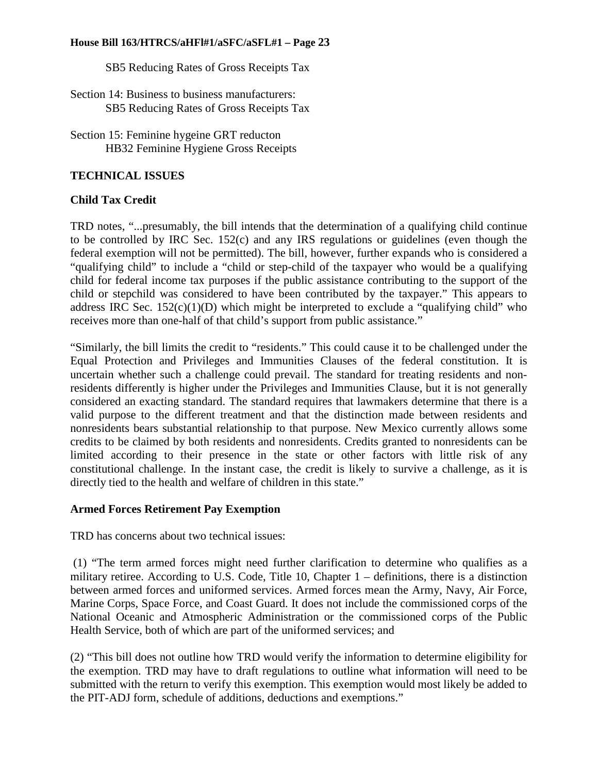SB5 Reducing Rates of Gross Receipts Tax

Section 14: Business to business manufacturers: SB5 Reducing Rates of Gross Receipts Tax

Section 15: Feminine hygeine GRT reducton HB32 Feminine Hygiene Gross Receipts

## **TECHNICAL ISSUES**

## **Child Tax Credit**

TRD notes, "...presumably, the bill intends that the determination of a qualifying child continue to be controlled by IRC Sec. 152(c) and any IRS regulations or guidelines (even though the federal exemption will not be permitted). The bill, however, further expands who is considered a "qualifying child" to include a "child or step-child of the taxpayer who would be a qualifying child for federal income tax purposes if the public assistance contributing to the support of the child or stepchild was considered to have been contributed by the taxpayer." This appears to address IRC Sec.  $152(c)(1)(D)$  which might be interpreted to exclude a "qualifying child" who receives more than one-half of that child's support from public assistance."

"Similarly, the bill limits the credit to "residents." This could cause it to be challenged under the Equal Protection and Privileges and Immunities Clauses of the federal constitution. It is uncertain whether such a challenge could prevail. The standard for treating residents and nonresidents differently is higher under the Privileges and Immunities Clause, but it is not generally considered an exacting standard. The standard requires that lawmakers determine that there is a valid purpose to the different treatment and that the distinction made between residents and nonresidents bears substantial relationship to that purpose. New Mexico currently allows some credits to be claimed by both residents and nonresidents. Credits granted to nonresidents can be limited according to their presence in the state or other factors with little risk of any constitutional challenge. In the instant case, the credit is likely to survive a challenge, as it is directly tied to the health and welfare of children in this state."

### **Armed Forces Retirement Pay Exemption**

TRD has concerns about two technical issues:

(1) "The term armed forces might need further clarification to determine who qualifies as a military retiree. According to U.S. Code, Title 10, Chapter 1 – definitions, there is a distinction between armed forces and uniformed services. Armed forces mean the Army, Navy, Air Force, Marine Corps, Space Force, and Coast Guard. It does not include the commissioned corps of the National Oceanic and Atmospheric Administration or the commissioned corps of the Public Health Service, both of which are part of the uniformed services; and

(2) "This bill does not outline how TRD would verify the information to determine eligibility for the exemption. TRD may have to draft regulations to outline what information will need to be submitted with the return to verify this exemption. This exemption would most likely be added to the PIT-ADJ form, schedule of additions, deductions and exemptions."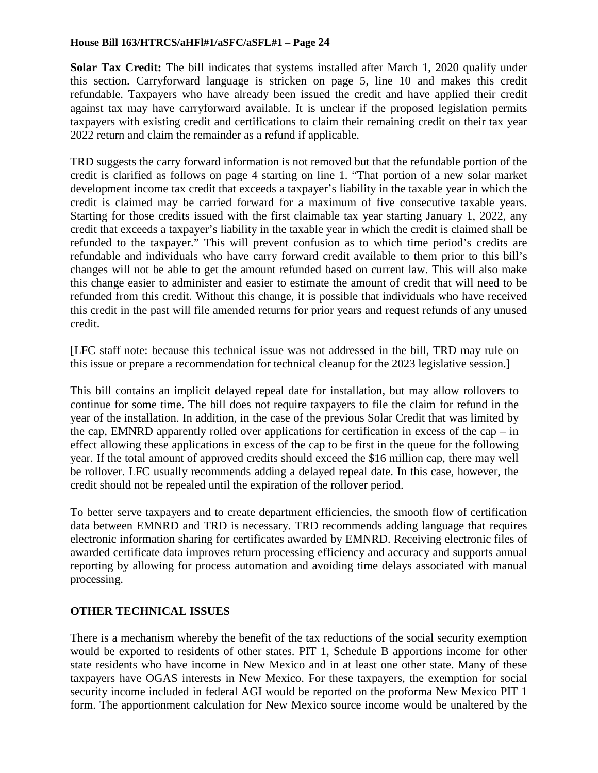**Solar Tax Credit:** The bill indicates that systems installed after March 1, 2020 qualify under this section. Carryforward language is stricken on page 5, line 10 and makes this credit refundable. Taxpayers who have already been issued the credit and have applied their credit against tax may have carryforward available. It is unclear if the proposed legislation permits taxpayers with existing credit and certifications to claim their remaining credit on their tax year 2022 return and claim the remainder as a refund if applicable.

TRD suggests the carry forward information is not removed but that the refundable portion of the credit is clarified as follows on page 4 starting on line 1. "That portion of a new solar market development income tax credit that exceeds a taxpayer's liability in the taxable year in which the credit is claimed may be carried forward for a maximum of five consecutive taxable years. Starting for those credits issued with the first claimable tax year starting January 1, 2022, any credit that exceeds a taxpayer's liability in the taxable year in which the credit is claimed shall be refunded to the taxpayer." This will prevent confusion as to which time period's credits are refundable and individuals who have carry forward credit available to them prior to this bill's changes will not be able to get the amount refunded based on current law. This will also make this change easier to administer and easier to estimate the amount of credit that will need to be refunded from this credit. Without this change, it is possible that individuals who have received this credit in the past will file amended returns for prior years and request refunds of any unused credit.

[LFC staff note: because this technical issue was not addressed in the bill, TRD may rule on this issue or prepare a recommendation for technical cleanup for the 2023 legislative session.]

This bill contains an implicit delayed repeal date for installation, but may allow rollovers to continue for some time. The bill does not require taxpayers to file the claim for refund in the year of the installation. In addition, in the case of the previous Solar Credit that was limited by the cap, EMNRD apparently rolled over applications for certification in excess of the cap – in effect allowing these applications in excess of the cap to be first in the queue for the following year. If the total amount of approved credits should exceed the \$16 million cap, there may well be rollover. LFC usually recommends adding a delayed repeal date. In this case, however, the credit should not be repealed until the expiration of the rollover period.

To better serve taxpayers and to create department efficiencies, the smooth flow of certification data between EMNRD and TRD is necessary. TRD recommends adding language that requires electronic information sharing for certificates awarded by EMNRD. Receiving electronic files of awarded certificate data improves return processing efficiency and accuracy and supports annual reporting by allowing for process automation and avoiding time delays associated with manual processing.

## **OTHER TECHNICAL ISSUES**

There is a mechanism whereby the benefit of the tax reductions of the social security exemption would be exported to residents of other states. PIT 1, Schedule B apportions income for other state residents who have income in New Mexico and in at least one other state. Many of these taxpayers have OGAS interests in New Mexico. For these taxpayers, the exemption for social security income included in federal AGI would be reported on the proforma New Mexico PIT 1 form. The apportionment calculation for New Mexico source income would be unaltered by the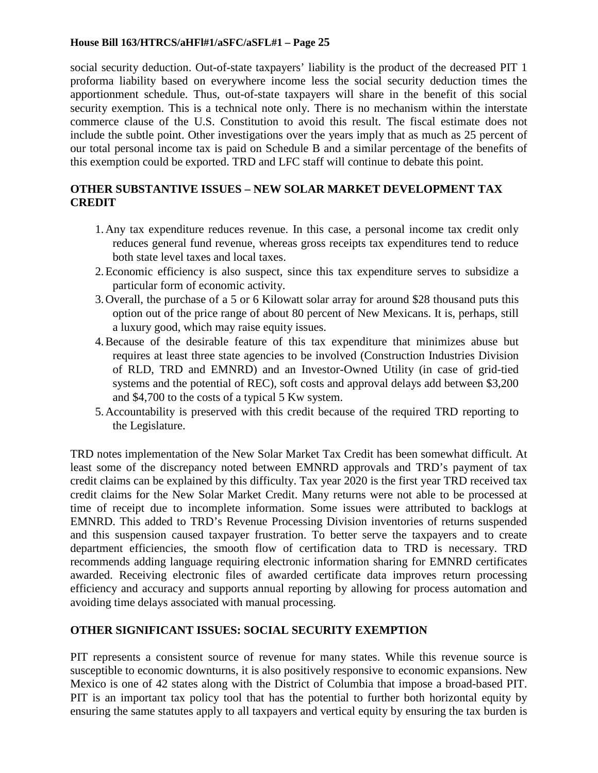social security deduction. Out-of-state taxpayers' liability is the product of the decreased PIT 1 proforma liability based on everywhere income less the social security deduction times the apportionment schedule. Thus, out-of-state taxpayers will share in the benefit of this social security exemption. This is a technical note only. There is no mechanism within the interstate commerce clause of the U.S. Constitution to avoid this result. The fiscal estimate does not include the subtle point. Other investigations over the years imply that as much as 25 percent of our total personal income tax is paid on Schedule B and a similar percentage of the benefits of this exemption could be exported. TRD and LFC staff will continue to debate this point.

## **OTHER SUBSTANTIVE ISSUES – NEW SOLAR MARKET DEVELOPMENT TAX CREDIT**

- 1.Any tax expenditure reduces revenue. In this case, a personal income tax credit only reduces general fund revenue, whereas gross receipts tax expenditures tend to reduce both state level taxes and local taxes.
- 2.Economic efficiency is also suspect, since this tax expenditure serves to subsidize a particular form of economic activity.
- 3.Overall, the purchase of a 5 or 6 Kilowatt solar array for around \$28 thousand puts this option out of the price range of about 80 percent of New Mexicans. It is, perhaps, still a luxury good, which may raise equity issues.
- 4.Because of the desirable feature of this tax expenditure that minimizes abuse but requires at least three state agencies to be involved (Construction Industries Division of RLD, TRD and EMNRD) and an Investor-Owned Utility (in case of grid-tied systems and the potential of REC), soft costs and approval delays add between \$3,200 and \$4,700 to the costs of a typical 5 Kw system.
- 5.Accountability is preserved with this credit because of the required TRD reporting to the Legislature.

TRD notes implementation of the New Solar Market Tax Credit has been somewhat difficult. At least some of the discrepancy noted between EMNRD approvals and TRD's payment of tax credit claims can be explained by this difficulty. Tax year 2020 is the first year TRD received tax credit claims for the New Solar Market Credit. Many returns were not able to be processed at time of receipt due to incomplete information. Some issues were attributed to backlogs at EMNRD. This added to TRD's Revenue Processing Division inventories of returns suspended and this suspension caused taxpayer frustration. To better serve the taxpayers and to create department efficiencies, the smooth flow of certification data to TRD is necessary. TRD recommends adding language requiring electronic information sharing for EMNRD certificates awarded. Receiving electronic files of awarded certificate data improves return processing efficiency and accuracy and supports annual reporting by allowing for process automation and avoiding time delays associated with manual processing.

## **OTHER SIGNIFICANT ISSUES: SOCIAL SECURITY EXEMPTION**

PIT represents a consistent source of revenue for many states. While this revenue source is susceptible to economic downturns, it is also positively responsive to economic expansions. New Mexico is one of 42 states along with the District of Columbia that impose a broad-based PIT. PIT is an important tax policy tool that has the potential to further both horizontal equity by ensuring the same statutes apply to all taxpayers and vertical equity by ensuring the tax burden is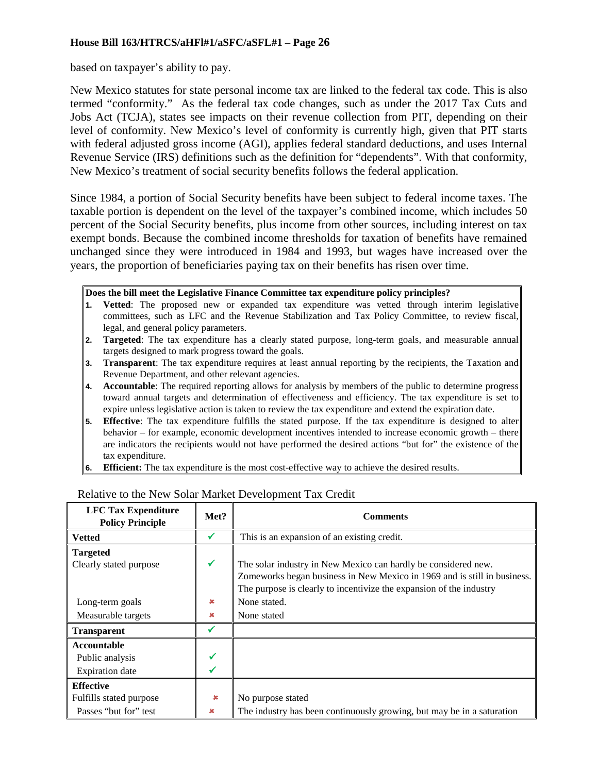based on taxpayer's ability to pay.

New Mexico statutes for state personal income tax are linked to the federal tax code. This is also termed "conformity." As the federal tax code changes, such as under the 2017 Tax Cuts and Jobs Act (TCJA), states see impacts on their revenue collection from PIT, depending on their level of conformity. New Mexico's level of conformity is currently high, given that PIT starts with federal adjusted gross income (AGI), applies federal standard deductions, and uses Internal Revenue Service (IRS) definitions such as the definition for "dependents". With that conformity, New Mexico's treatment of social security benefits follows the federal application.

Since 1984, a portion of Social Security benefits have been subject to federal income taxes. The taxable portion is dependent on the level of the taxpayer's combined income, which includes 50 percent of the Social Security benefits, plus income from other sources, including interest on tax exempt bonds. Because the combined income thresholds for taxation of benefits have remained unchanged since they were introduced in 1984 and 1993, but wages have increased over the years, the proportion of beneficiaries paying tax on their benefits has risen over time.

**Does the bill meet the Legislative Finance Committee tax expenditure policy principles?**

- **1. Vetted**: The proposed new or expanded tax expenditure was vetted through interim legislative committees, such as LFC and the Revenue Stabilization and Tax Policy Committee, to review fiscal, legal, and general policy parameters.
- **2. Targeted**: The tax expenditure has a clearly stated purpose, long-term goals, and measurable annual targets designed to mark progress toward the goals.
- **3. Transparent**: The tax expenditure requires at least annual reporting by the recipients, the Taxation and Revenue Department, and other relevant agencies.
- **4. Accountable**: The required reporting allows for analysis by members of the public to determine progress toward annual targets and determination of effectiveness and efficiency. The tax expenditure is set to expire unless legislative action is taken to review the tax expenditure and extend the expiration date.
- **5. Effective**: The tax expenditure fulfills the stated purpose. If the tax expenditure is designed to alter behavior – for example, economic development incentives intended to increase economic growth – there are indicators the recipients would not have performed the desired actions "but for" the existence of the tax expenditure.
- **6. Efficient:** The tax expenditure is the most cost-effective way to achieve the desired results.

| <b>LFC Tax Expenditure</b><br><b>Policy Principle</b> | Met?         | <b>Comments</b>                                                          |
|-------------------------------------------------------|--------------|--------------------------------------------------------------------------|
| <b>Vetted</b>                                         | ✔            | This is an expansion of an existing credit.                              |
| <b>Targeted</b>                                       |              |                                                                          |
| Clearly stated purpose                                | $\checkmark$ | The solar industry in New Mexico can hardly be considered new.           |
|                                                       |              | Zomeworks began business in New Mexico in 1969 and is still in business. |
|                                                       |              | The purpose is clearly to incentivize the expansion of the industry      |
| Long-term goals                                       | ×            | None stated.                                                             |
| Measurable targets                                    | ×            | None stated                                                              |
| <b>Transparent</b>                                    |              |                                                                          |
| <b>Accountable</b>                                    |              |                                                                          |
| Public analysis                                       |              |                                                                          |
| <b>Expiration</b> date                                |              |                                                                          |
| <b>Effective</b>                                      |              |                                                                          |
| Fulfills stated purpose                               | $\infty$     | No purpose stated                                                        |
| Passes "but for" test                                 | ×            | The industry has been continuously growing, but may be in a saturation   |

### Relative to the New Solar Market Development Tax Credit